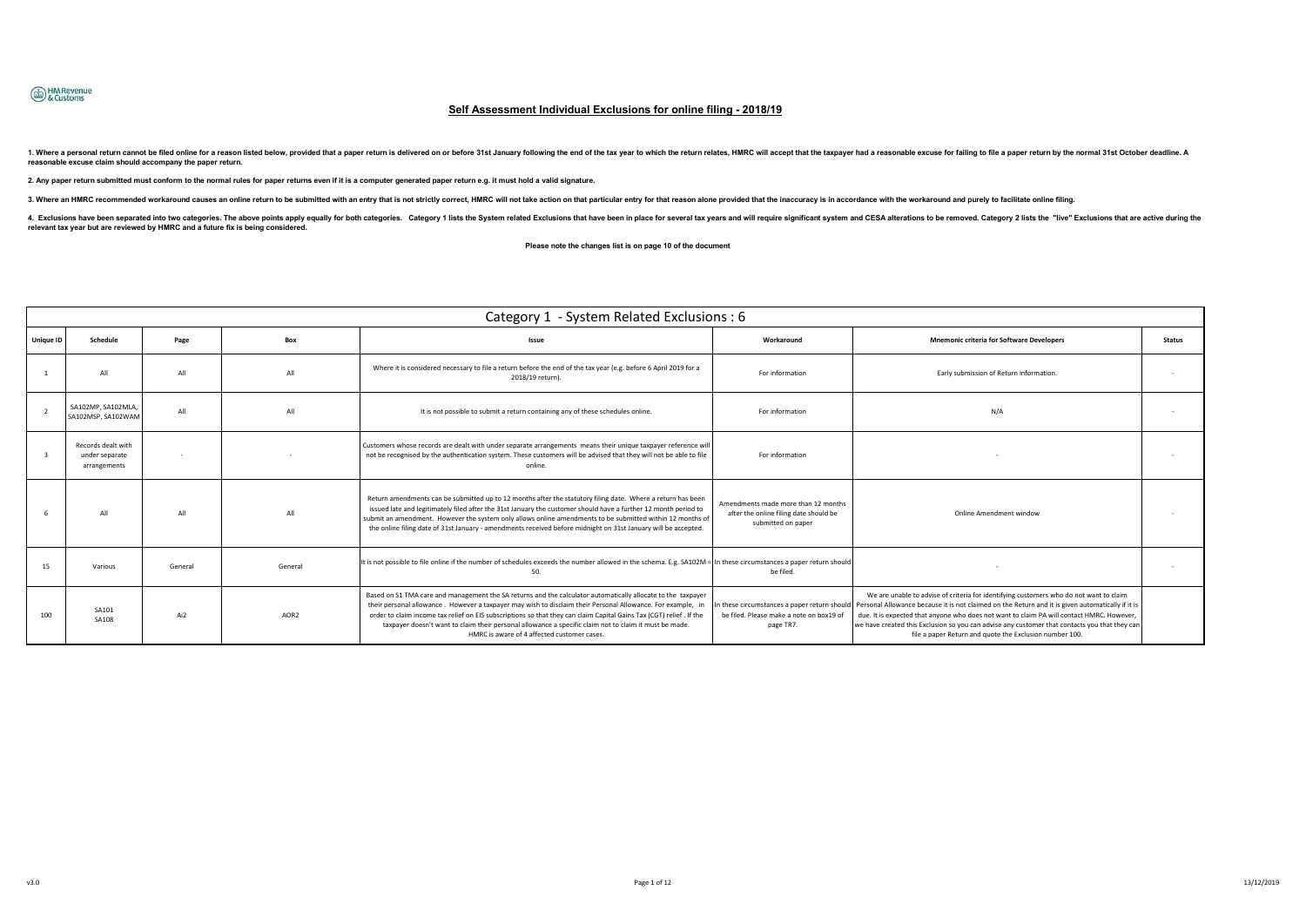

# **Self Assessment Individual Exclusions for online filing - 2018/19**

1. Where a personal return cannot be filed online for a reason listed below, provided that a paper return is delivered on or before 31st January following the end of the tax year to which the return relates, HMRC will acce **reasonable excuse claim should accompany the paper return.** 

**2. Any paper return submitted must conform to the normal rules for paper returns even if it is a computer generated paper return e.g. it must hold a valid signature.** 

3. Where an HMRC recommended workaround causes an online return to be submitted with an entry that is not strictly correct, HMRC will not take action on that particular entry for that reason alone provided that the inaccur

4. Exclusions have been separated into two categories. The above points apply equally for both categories. Category 1 lists the System related Exclusions that have been in place for several tax years and will require signi **relevant tax year but are reviewed by HMRC and a future fix is being considered.** 

 **Please note the changes list is on page 10 of the document** 

|                  | Category 1 - System Related Exclusions : 6           |         |                  |                                                                                                                                                                                                                                                                                                                                                                                                                                                                                                              |                                                                                                     |                                                                                                                                                                                                                                                                                                                                                                                                                                                                                                     |               |  |  |
|------------------|------------------------------------------------------|---------|------------------|--------------------------------------------------------------------------------------------------------------------------------------------------------------------------------------------------------------------------------------------------------------------------------------------------------------------------------------------------------------------------------------------------------------------------------------------------------------------------------------------------------------|-----------------------------------------------------------------------------------------------------|-----------------------------------------------------------------------------------------------------------------------------------------------------------------------------------------------------------------------------------------------------------------------------------------------------------------------------------------------------------------------------------------------------------------------------------------------------------------------------------------------------|---------------|--|--|
| <b>Unique ID</b> | Schedule                                             | Page    | Box              | Issue                                                                                                                                                                                                                                                                                                                                                                                                                                                                                                        | Workaround                                                                                          | <b>Mnemonic criteria for Software Developers</b>                                                                                                                                                                                                                                                                                                                                                                                                                                                    | <b>Status</b> |  |  |
|                  | ΔIΙ                                                  | All     | $\Lambda$ II     | Where it is considered necessary to file a return before the end of the tax year (e.g. before 6 April 2019 for a<br>2018/19 return).                                                                                                                                                                                                                                                                                                                                                                         | For information                                                                                     | Early submission of Return information.                                                                                                                                                                                                                                                                                                                                                                                                                                                             |               |  |  |
|                  | SA102MP, SA102MLA,<br>SA102MSP, SA102WAM             | All     | All              | It is not possible to submit a return containing any of these schedules online.                                                                                                                                                                                                                                                                                                                                                                                                                              | For information                                                                                     | N/A                                                                                                                                                                                                                                                                                                                                                                                                                                                                                                 |               |  |  |
|                  | Records dealt with<br>under separate<br>arrangements |         |                  | Customers whose records are dealt with under separate arrangements means their unique taxpayer reference will<br>not be recognised by the authentication system. These customers will be advised that they will not be able to file<br>online.                                                                                                                                                                                                                                                               | For information                                                                                     |                                                                                                                                                                                                                                                                                                                                                                                                                                                                                                     |               |  |  |
|                  | ΔIΙ                                                  |         | $\Lambda$ II     | Return amendments can be submitted up to 12 months after the statutory filing date. Where a return has been<br>issued late and legitimately filed after the 31st January the customer should have a further 12 month period to<br>submit an amendment. However the system only allows online amendments to be submitted within 12 months of<br>the online filing date of 31st January - amendments received before midnight on 31st January will be accepted.                                                | Amendments made more than 12 months<br>after the online filing date should be<br>submitted on paper | Online Amendment window                                                                                                                                                                                                                                                                                                                                                                                                                                                                             |               |  |  |
| 15               | Various                                              | General | General          | It is not possible to file online if the number of schedules exceeds the number allowed in the schema. E.g. SA102M = In these circumstances a paper return should<br>50.                                                                                                                                                                                                                                                                                                                                     | be filed.                                                                                           |                                                                                                                                                                                                                                                                                                                                                                                                                                                                                                     |               |  |  |
| 100              | SA101<br>SA108                                       | Ai2     | AOR <sub>2</sub> | Based on S1 TMA care and management the SA returns and the calculator automatically allocate to the taxpayer<br>their personal allowance. However a taxpayer may wish to disclaim their Personal Allowance. For example, in<br>order to claim income tax relief on EIS subscriptions so that they can claim Capital Gains Tax (CGT) relief . If the<br>taxpayer doesn't want to claim their personal allowance a specific claim not to claim it must be made.<br>HMRC is aware of 4 affected customer cases. | be filed. Please make a note on box19 of<br>page TR7.                                               | We are unable to advise of criteria for identifying customers who do not want to claim<br>In these circumstances a paper return should   Personal Allowance because it is not claimed on the Return and it is given automatically if it is<br>due. It is expected that anyone who does not want to claim PA will contact HMRC. However,<br>we have created this Exclusion so you can advise any customer that contacts you that they can<br>file a paper Return and quote the Exclusion number 100. |               |  |  |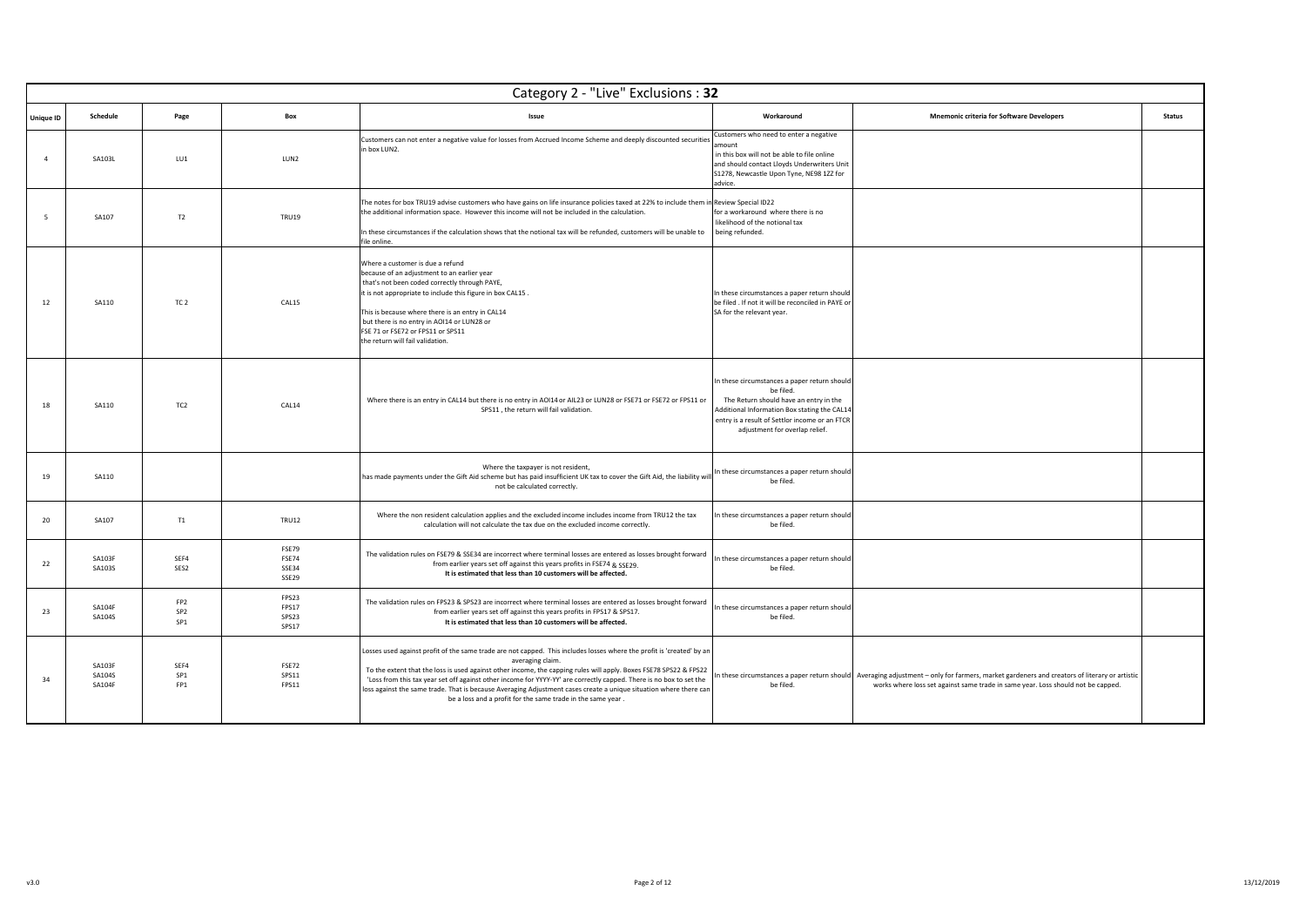|                  |                                   |                                                       |                                  | Category 2 - "Live" Exclusions: 32                                                                                                                                                                                                                                                                                                                                                                                                                                                                                                                                        |                                                                                                                                                                                                                                         |                                                                                                                                                                                                                                   |               |
|------------------|-----------------------------------|-------------------------------------------------------|----------------------------------|---------------------------------------------------------------------------------------------------------------------------------------------------------------------------------------------------------------------------------------------------------------------------------------------------------------------------------------------------------------------------------------------------------------------------------------------------------------------------------------------------------------------------------------------------------------------------|-----------------------------------------------------------------------------------------------------------------------------------------------------------------------------------------------------------------------------------------|-----------------------------------------------------------------------------------------------------------------------------------------------------------------------------------------------------------------------------------|---------------|
| <b>Unique ID</b> | Schedule                          | Page                                                  | Box                              | Issue                                                                                                                                                                                                                                                                                                                                                                                                                                                                                                                                                                     | Workaround                                                                                                                                                                                                                              | <b>Mnemonic criteria for Software Developers</b>                                                                                                                                                                                  | <b>Status</b> |
| $\overline{4}$   | SA103L                            | LU1                                                   | LUN2                             | Customers can not enter a negative value for losses from Accrued Income Scheme and deeply discounted securities<br>in box LUN2.                                                                                                                                                                                                                                                                                                                                                                                                                                           | Customers who need to enter a negative<br>mount<br>in this box will not be able to file online<br>and should contact Lloyds Underwriters Unit<br>S1278, Newcastle Upon Tyne, NE98 1ZZ for<br>advice.                                    |                                                                                                                                                                                                                                   |               |
| 5                | SA107                             | T2                                                    | <b>TRU19</b>                     | The notes for box TRU19 advise customers who have gains on life insurance policies taxed at 22% to include them in Review Special ID22<br>the additional information space. However this income will not be included in the calculation.<br>In these circumstances if the calculation shows that the notional tax will be refunded, customers will be unable to<br>file online.                                                                                                                                                                                           | for a workaround where there is no<br>likelihood of the notional tax<br>being refunded.                                                                                                                                                 |                                                                                                                                                                                                                                   |               |
| 12               | SA110                             | TC <sub>2</sub>                                       | CAL15                            | Where a customer is due a refund<br>because of an adjustment to an earlier year<br>that's not been coded correctly through PAYE,<br>it is not appropriate to include this figure in box CAL15.<br>This is because where there is an entry in CAL14<br>but there is no entry in AOI14 or LUN28 or<br>FSE 71 or FSE72 or FPS11 or SPS11<br>the return will fail validation.                                                                                                                                                                                                 | In these circumstances a paper return should<br>be filed . If not it will be reconciled in PAYE or<br>SA for the relevant year.                                                                                                         |                                                                                                                                                                                                                                   |               |
| 18               | SA110                             | TC <sub>2</sub>                                       | CAL14                            | Where there is an entry in CAL14 but there is no entry in AOI14 or AIL23 or LUN28 or FSE71 or FSE72 or FPS11 or<br>SPS11, the return will fail validation.                                                                                                                                                                                                                                                                                                                                                                                                                | In these circumstances a paper return should<br>be filed.<br>The Return should have an entry in the<br>Additional Information Box stating the CAL14<br>entry is a result of Settlor income or an FTCR<br>adjustment for overlap relief. |                                                                                                                                                                                                                                   |               |
| 19               | SA110                             |                                                       |                                  | Where the taxpayer is not resident,<br>has made payments under the Gift Aid scheme but has paid insufficient UK tax to cover the Gift Aid, the liability wil<br>not be calculated correctly.                                                                                                                                                                                                                                                                                                                                                                              | In these circumstances a paper return should<br>be filed.                                                                                                                                                                               |                                                                                                                                                                                                                                   |               |
| 20               | SA107                             | T1                                                    | <b>TRU12</b>                     | Where the non resident calculation applies and the excluded income includes income from TRU12 the tax<br>calculation will not calculate the tax due on the excluded income correctly.                                                                                                                                                                                                                                                                                                                                                                                     | In these circumstances a paper return should<br>be filed.                                                                                                                                                                               |                                                                                                                                                                                                                                   |               |
| 22               | SA103F<br>SA1035                  | SEF4<br>SES2                                          | FSE79<br>FSE74<br>SSE34<br>SSE29 | The validation rules on FSE79 & SSE34 are incorrect where terminal losses are entered as losses brought forward<br>from earlier years set off against this years profits in FSE74 & SSF79.<br>It is estimated that less than 10 customers will be affected.                                                                                                                                                                                                                                                                                                               | n these circumstances a paper return should<br>be filed.                                                                                                                                                                                |                                                                                                                                                                                                                                   |               |
| 23               | <b>SA104F</b><br>SA104S           | FP <sub>2</sub><br>SP <sub>2</sub><br>SP <sub>1</sub> | FPS23<br>FPS17<br>SPS23<br>SPS17 | The validation rules on FPS23 & SPS23 are incorrect where terminal losses are entered as losses brought forward<br>from earlier years set off against this years profits in FPS17 & SPS17.<br>It is estimated that less than 10 customers will be affected.                                                                                                                                                                                                                                                                                                               | In these circumstances a paper return should<br>be filed.                                                                                                                                                                               |                                                                                                                                                                                                                                   |               |
| 34               | <b>SA103F</b><br>SA104S<br>SA104F | SEF4<br>SP <sub>1</sub><br>FP1                        | FSE72<br>SPS11<br>FPS11          | Losses used against profit of the same trade are not capped. This includes losses where the profit is 'created' by an<br>averaging claim.<br>To the extent that the loss is used against other income, the capping rules will apply. Boxes FSE78 SPS22 & FPS22<br>'Loss from this tax year set off against other income for YYYY-YY' are correctly capped. There is no box to set the<br>loss against the same trade. That is because Averaging Adjustment cases create a unique situation where there can<br>be a loss and a profit for the same trade in the same year. | be filed.                                                                                                                                                                                                                               | In these circumstances a paper return should   Averaging adjustment - only for farmers, market gardeners and creators of literary or artistic<br>works where loss set against same trade in same year. Loss should not be capped. |               |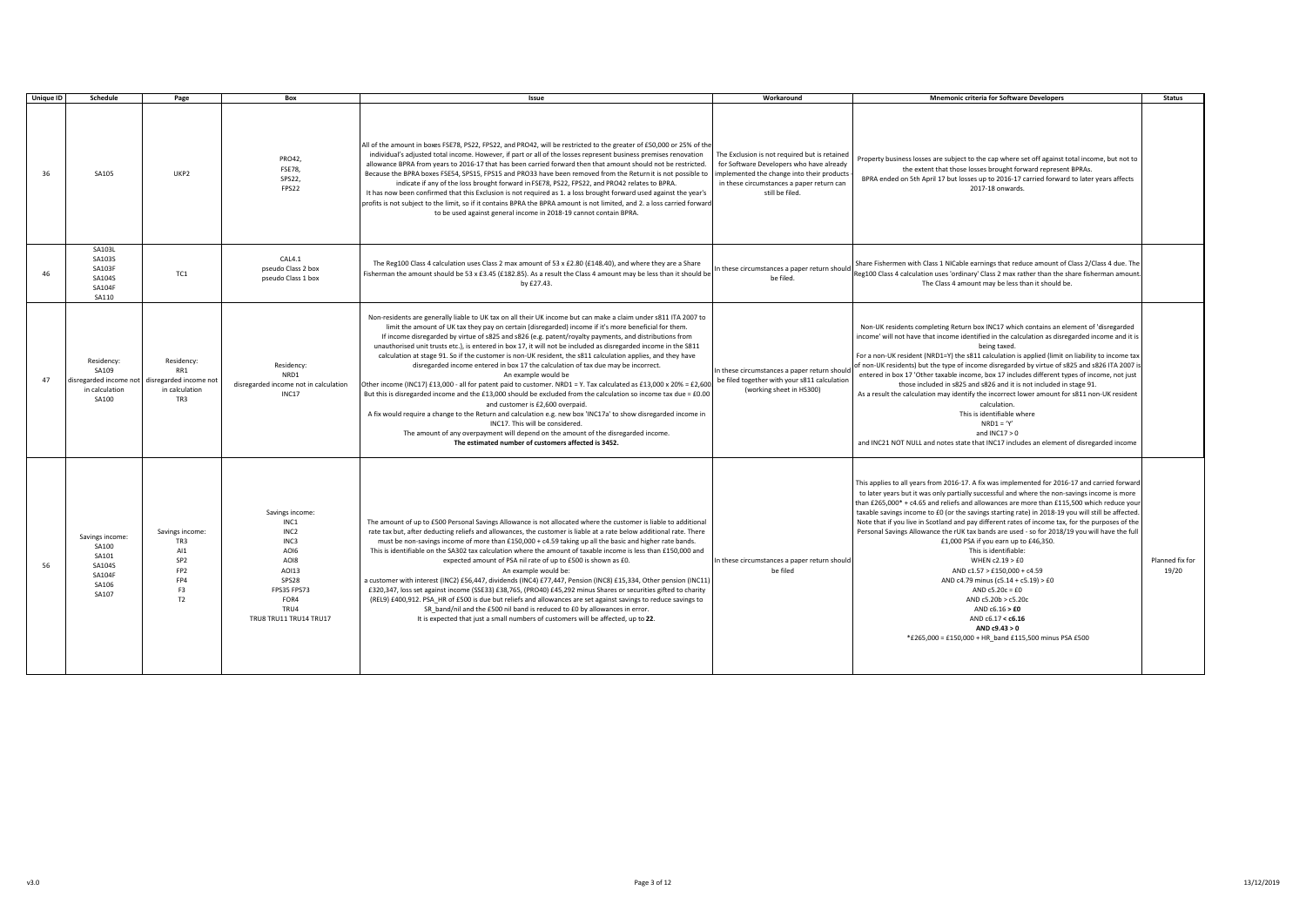| <b>Unique ID</b> | Schedule                                                                       | Page                                                                                               | Box                                                                                                                                            | Issue                                                                                                                                                                                                                                                                                                                                                                                                                                                                                                                                                                                                                                                                                                                                                                                                                                                                                                                                                                                                                                                                                                                                                                                                                                                              | Workaround                                                                                                                                                                                              | <b>Mnemonic criteria for Software Developers</b>                                                                                                                                                                                                                                                                                                                                                                                                                                                                                                                                                                                                                                                                                                                                                                                                                                                                                    | <b>Status</b>            |
|------------------|--------------------------------------------------------------------------------|----------------------------------------------------------------------------------------------------|------------------------------------------------------------------------------------------------------------------------------------------------|--------------------------------------------------------------------------------------------------------------------------------------------------------------------------------------------------------------------------------------------------------------------------------------------------------------------------------------------------------------------------------------------------------------------------------------------------------------------------------------------------------------------------------------------------------------------------------------------------------------------------------------------------------------------------------------------------------------------------------------------------------------------------------------------------------------------------------------------------------------------------------------------------------------------------------------------------------------------------------------------------------------------------------------------------------------------------------------------------------------------------------------------------------------------------------------------------------------------------------------------------------------------|---------------------------------------------------------------------------------------------------------------------------------------------------------------------------------------------------------|-------------------------------------------------------------------------------------------------------------------------------------------------------------------------------------------------------------------------------------------------------------------------------------------------------------------------------------------------------------------------------------------------------------------------------------------------------------------------------------------------------------------------------------------------------------------------------------------------------------------------------------------------------------------------------------------------------------------------------------------------------------------------------------------------------------------------------------------------------------------------------------------------------------------------------------|--------------------------|
| 36               | SA105                                                                          | UKP <sub>2</sub>                                                                                   | PRO42.<br><b>FSE78.</b><br>SPS22,<br>FPS22                                                                                                     | All of the amount in boxes FSE78, PS22, FPS22, and PRO42, will be restricted to the greater of £50,000 or 25% of the<br>individual's adjusted total income. However, if part or all of the losses represent business premises renovation<br>allowance BPRA from years to 2016-17 that has been carried forward then that amount should not be restricted.<br>Because the BPRA boxes FSE54, SPS15, FPS15 and PRO33 have been removed from the Return it is not possible to<br>indicate if any of the loss brought forward in FSE78, PS22, FPS22, and PRO42 relates to BPRA.<br>It has now been confirmed that this Exclusion is not required as 1. a loss brought forward used against the year's<br>profits is not subject to the limit, so if it contains BPRA the BPRA amount is not limited, and 2. a loss carried forward<br>to be used against general income in 2018-19 cannot contain BPRA.                                                                                                                                                                                                                                                                                                                                                                 | The Exclusion is not required but is retained<br>for Software Developers who have already<br>implemented the change into their products<br>in these circumstances a paper return can<br>still be filed. | Property business losses are subject to the cap where set off against total income, but not to<br>the extent that those losses brought forward represent BPRAs.<br>BPRA ended on 5th April 17 but losses up to 2016-17 carried forward to later years affects<br>2017-18 onwards.                                                                                                                                                                                                                                                                                                                                                                                                                                                                                                                                                                                                                                                   |                          |
| 46               | SA103L<br>SA103S<br><b>SA103F</b><br><b>SA104S</b><br><b>SA104F</b><br>SA110   | TC1                                                                                                | CAL4.1<br>pseudo Class 2 box<br>pseudo Class 1 box                                                                                             | The Reg100 Class 4 calculation uses Class 2 max amount of 53 x £2.80 (£148.40), and where they are a Share<br>Fisherman the amount should be 53 x £3.45 (£182.85). As a result the Class 4 amount may be less than it should be<br>by £27.43.                                                                                                                                                                                                                                                                                                                                                                                                                                                                                                                                                                                                                                                                                                                                                                                                                                                                                                                                                                                                                      | n these circumstances a paper return should<br>be filed.                                                                                                                                                | Share Fishermen with Class 1 NICable earnings that reduce amount of Class 2/Class 4 due. The<br>Reg100 Class 4 calculation uses 'ordinary' Class 2 max rather than the share fisherman amount.<br>The Class 4 amount may be less than it should be.                                                                                                                                                                                                                                                                                                                                                                                                                                                                                                                                                                                                                                                                                 |                          |
| 47               | Residency:<br>SA109<br>disregarded income not<br>in calculation<br>SA100       | Residency:<br>RR1<br>disregarded income not<br>in calculation<br>TR3                               | Residency:<br>NRD1<br>disregarded income not in calculation<br><b>INC17</b>                                                                    | Non-residents are generally liable to UK tax on all their UK income but can make a claim under s811 ITA 2007 to<br>limit the amount of UK tax they pay on certain (disregarded) income if it's more beneficial for them.<br>If income disregarded by virtue of s825 and s826 (e.g. patent/royalty payments, and distributions from<br>unauthorised unit trusts etc.), is entered in box 17, it will not be included as disregarded income in the S811<br>calculation at stage 91. So if the customer is non-UK resident, the s811 calculation applies, and they have<br>disregarded income entered in box 17 the calculation of tax due may be incorrect.<br>An example would be<br>Other income (INC17) £13,000 - all for patent paid to customer. NRD1 = Y. Tax calculated as £13,000 x 20% = £2,600<br>But this is disregarded income and the £13,000 should be excluded from the calculation so income tax due = $£0.00$<br>and customer is £2,600 overpaid.<br>A fix would require a change to the Return and calculation e.g. new box 'INC17a' to show disregarded income in<br>INC17. This will be considered.<br>The amount of any overpayment will depend on the amount of the disregarded income.<br>The estimated number of customers affected is 3452. | n these circumstances a paper return should<br>be filed together with your s811 calculation<br>(working sheet in HS300)                                                                                 | Non-UK residents completing Return box INC17 which contains an element of 'disregarded<br>income' will not have that income identified in the calculation as disregarded income and it is<br>being taxed.<br>For a non-UK resident (NRD1=Y) the s811 calculation is applied (limit on liability to income tax<br>of non-UK residents) but the type of income disregarded by virtue of s825 and s826 ITA 2007 is<br>entered in box 17 'Other taxable income, box 17 includes different types of income, not just<br>those included in s825 and s826 and it is not included in stage 91.<br>As a result the calculation may identify the incorrect lower amount for s811 non-UK resident<br>calculation.<br>This is identifiable where<br>$NRD1 = 'Y'$<br>and $INC17 > 0$<br>and INC21 NOT NULL and notes state that INC17 includes an element of disregarded income                                                                  |                          |
| 56               | Savings income:<br>SA100<br>SA101<br>SA104S<br><b>SA104F</b><br>SA106<br>SA107 | Savings income:<br>TR3<br>AI1<br>SP <sub>2</sub><br>FP <sub>2</sub><br>FP4<br>F3<br>T <sub>2</sub> | Savings income:<br>INC1<br>INC <sub>2</sub><br>INC3<br>AOI6<br>AOI8<br>A0113<br>SPS28<br>FPS35 FPS73<br>FOR4<br>TRU4<br>TRUS TRU11 TRU14 TRU17 | The amount of up to £500 Personal Savings Allowance is not allocated where the customer is liable to additional<br>rate tax but, after deducting reliefs and allowances, the customer is liable at a rate below additional rate. There<br>must be non-savings income of more than £150,000 + $c$ 4.59 taking up all the basic and higher rate bands.<br>This is identifiable on the SA302 tax calculation where the amount of taxable income is less than £150,000 and<br>expected amount of PSA nil rate of up to £500 is shown as £0.<br>An example would be:<br>a customer with interest (INC2) £56,447, dividends (INC4) £77,447, Pension (INC8) £15,334, Other pension (INC11)<br>£320,347, loss set against income (SSE33) £38,765, (PRO40) £45,292 minus Shares or securities gifted to charity<br>(REL9) £400,912. PSA_HR of £500 is due but reliefs and allowances are set against savings to reduce savings to<br>SR band/nil and the £500 nil band is reduced to £0 by allowances in error.<br>It is expected that just a small numbers of customers will be affected, up to 22.                                                                                                                                                                        | In these circumstances a paper return should<br>be filed                                                                                                                                                | This applies to all years from 2016-17. A fix was implemented for 2016-17 and carried forward<br>to later years but it was only partially successful and where the non-savings income is more<br>than £265,000* + c4.65 and reliefs and allowances are more than £115,500 which reduce your<br>taxable savings income to £0 (or the savings starting rate) in 2018-19 you will still be affected.<br>Note that if you live in Scotland and pay different rates of income tax, for the purposes of the<br>Personal Savings Allowance the rUK tax bands are used - so for 2018/19 you will have the full<br>£1,000 PSA if you earn up to £46,350.<br>This is identifiable:<br>WHEN c2.19 > £0<br>AND c1.57 > £150,000 + c4.59<br>AND c4.79 minus (c5.14 + c5.19) > £0<br>AND $c5.20c = £0$<br>AND c5.20b > c5.20c<br>AND $c6.16 > E0$<br>AND c6.17 < c6.16<br>AND c9.43 > 0<br>*£265,000 = £150,000 + HR band £115,500 minus PSA £500 | Planned fix for<br>19/20 |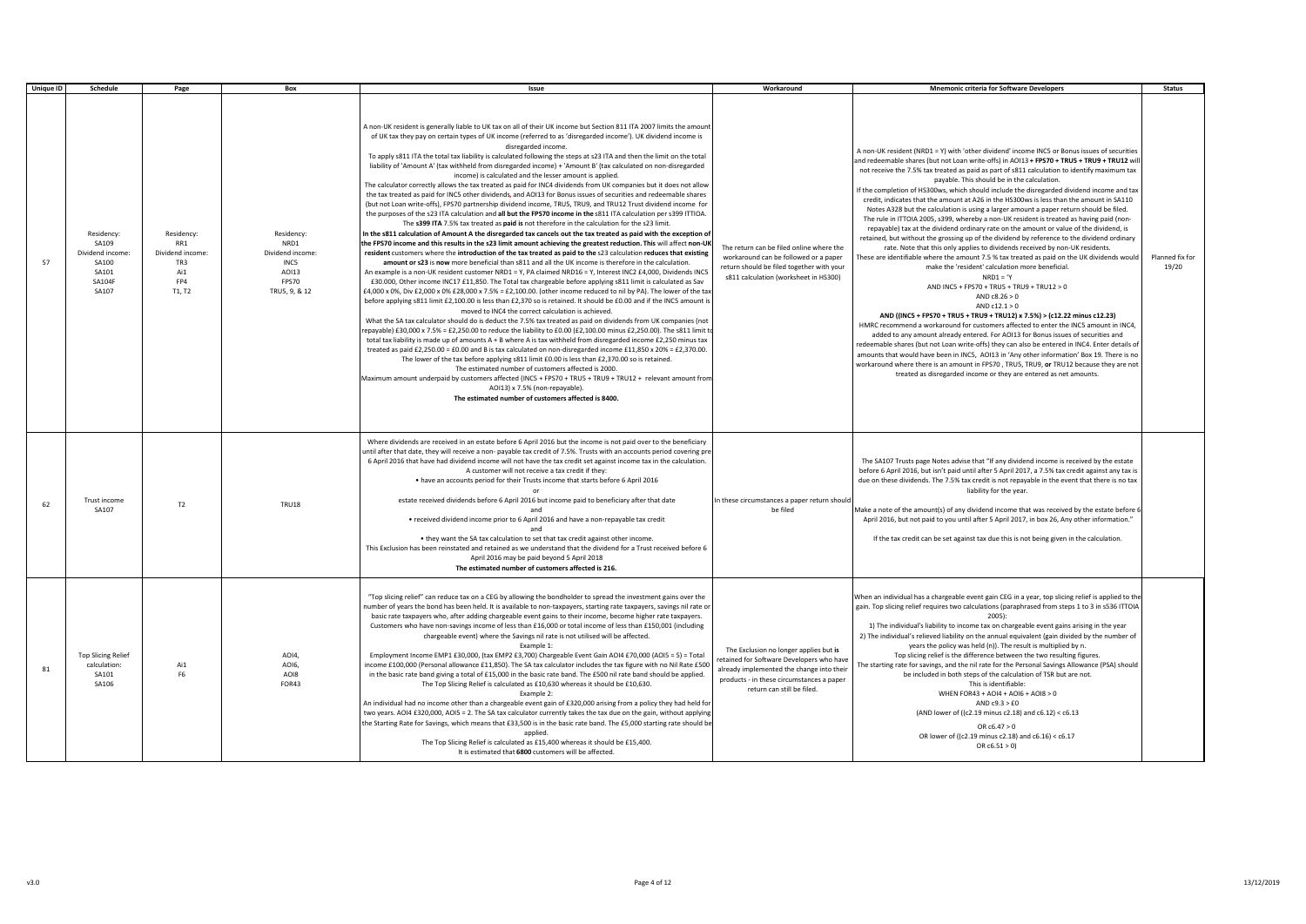| <b>Unique ID</b> | Schedule                                                                           | Page                                                                 | Box                                                                               | Issue                                                                                                                                                                                                                                                                                                                                                                                                                                                                                                                                                                                                                                                                                                                                                                                                                                                                                                                                                                                                                                                                                                                                                                                                                                                                                                                                                                                                                                                                                                                                                                                                                                                                                                                                                                                                                                                                                                                                                                                                                                                                                                                                                                                                                                                                                                                                                                                                                                                                                                                                                                                                                                                                                                                                                                                                                                                                                                                                                                                                               | Workaround                                                                                                                                                                                                  | <b>Mnemonic criteria for Software Developers</b>                                                                                                                                                                                                                                                                                                                                                                                                                                                                                                                                                                                                                                                                                                                                                                                                                                                                                                                                                                                                                                                                                                                                                                                                                                                                                                                                                                                                                                                                                                                                                                                                                                                                                                                                                                                                                                   | <b>Status</b>            |
|------------------|------------------------------------------------------------------------------------|----------------------------------------------------------------------|-----------------------------------------------------------------------------------|---------------------------------------------------------------------------------------------------------------------------------------------------------------------------------------------------------------------------------------------------------------------------------------------------------------------------------------------------------------------------------------------------------------------------------------------------------------------------------------------------------------------------------------------------------------------------------------------------------------------------------------------------------------------------------------------------------------------------------------------------------------------------------------------------------------------------------------------------------------------------------------------------------------------------------------------------------------------------------------------------------------------------------------------------------------------------------------------------------------------------------------------------------------------------------------------------------------------------------------------------------------------------------------------------------------------------------------------------------------------------------------------------------------------------------------------------------------------------------------------------------------------------------------------------------------------------------------------------------------------------------------------------------------------------------------------------------------------------------------------------------------------------------------------------------------------------------------------------------------------------------------------------------------------------------------------------------------------------------------------------------------------------------------------------------------------------------------------------------------------------------------------------------------------------------------------------------------------------------------------------------------------------------------------------------------------------------------------------------------------------------------------------------------------------------------------------------------------------------------------------------------------------------------------------------------------------------------------------------------------------------------------------------------------------------------------------------------------------------------------------------------------------------------------------------------------------------------------------------------------------------------------------------------------------------------------------------------------------------------------------------------------|-------------------------------------------------------------------------------------------------------------------------------------------------------------------------------------------------------------|------------------------------------------------------------------------------------------------------------------------------------------------------------------------------------------------------------------------------------------------------------------------------------------------------------------------------------------------------------------------------------------------------------------------------------------------------------------------------------------------------------------------------------------------------------------------------------------------------------------------------------------------------------------------------------------------------------------------------------------------------------------------------------------------------------------------------------------------------------------------------------------------------------------------------------------------------------------------------------------------------------------------------------------------------------------------------------------------------------------------------------------------------------------------------------------------------------------------------------------------------------------------------------------------------------------------------------------------------------------------------------------------------------------------------------------------------------------------------------------------------------------------------------------------------------------------------------------------------------------------------------------------------------------------------------------------------------------------------------------------------------------------------------------------------------------------------------------------------------------------------------|--------------------------|
| 57               | Residency:<br>SA109<br>Dividend income<br>SA100<br>SA101<br><b>SA104F</b><br>SA107 | Residency:<br>RR1<br>Dividend income:<br>TR3<br>Ai1<br>FP4<br>T1, T2 | Residency:<br>NRD1<br>Dividend income:<br>INC5<br>AOI13<br>FPS70<br>TRU5, 9, & 12 | A non-UK resident is generally liable to UK tax on all of their UK income but Section 811 ITA 2007 limits the amount<br>of UK tax they pay on certain types of UK income (referred to as 'disregarded income'). UK dividend income is<br>disregarded income.<br>To apply s811 ITA the total tax liability is calculated following the steps at s23 ITA and then the limit on the total<br>liability of 'Amount A' (tax withheld from disregarded income) + 'Amount B' (tax calculated on non-disregarded<br>income) is calculated and the lesser amount is applied.<br>The calculator correctly allows the tax treated as paid for INC4 dividends from UK companies but it does not allow<br>the tax treated as paid for INC5 other dividends, and AOI13 for Bonus issues of securities and redeemable shares<br>(but not Loan write-offs), FPS70 partnership dividend income, TRU5, TRU9, and TRU12 Trust dividend income for<br>the purposes of the s23 ITA calculation and all but the FPS70 income in the s811 ITA calculation per s399 ITTIOA.<br>The s399 ITA 7.5% tax treated as paid is not therefore in the calculation for the s23 limit.<br>In the s811 calculation of Amount A the disregarded tax cancels out the tax treated as paid with the exception of<br>the FPS70 income and this results in the s23 limit amount achieving the greatest reduction. This will affect non-UK<br>resident customers where the introduction of the tax treated as paid to the s23 calculation reduces that existing<br>amount or s23 is now more beneficial than s811 and all the UK income is therefore in the calculation.<br>An example is a non-UK resident customer NRD1 = Y, PA claimed NRD16 = Y, Interest INC2 £4,000, Dividends INC5<br>£30.000, Other income INC17 £11,850. The Total tax chargeable before applying s811 limit is calculated as Sav<br>£4,000 x 0%, Div £2,000 x 0% £28,000 x 7.5% = £2,100.00. (other income reduced to nil by PA). The lower of the tax<br>before applying s811 limit £2,100.00 is less than £2,370 so is retained. It should be £0.00 and if the INC5 amount is<br>moved to INC4 the correct calculation is achieved.<br>What the SA tax calculator should do is deduct the 7.5% tax treated as paid on dividends from UK companies (not<br>repayable) £30,000 x 7.5% = £2,250.00 to reduce the liability to £0.00 (£2,100.00 minus £2,250.00). The s811 limit to<br>total tax liability is made up of amounts A + B where A is tax withheld from disregarded income £2,250 minus tax<br>treated as paid £2,250.00 = £0.00 and B is tax calculated on non-disregarded income £11,850 x 20% = £2,370.00.<br>The lower of the tax before applying s811 limit £0.00 is less than £2,370.00 so is retained.<br>The estimated number of customers affected is 2000.<br>Maximum amount underpaid by customers affected (INC5 + FPS70 + TRU5 + TRU9 + TRU12 + relevant amount from<br>AOI13) x 7.5% (non-repayable).<br>The estimated number of customers affected is 8400. | The return can be filed online where the<br>workaround can be followed or a paper<br>return should be filed together with your<br>s811 calculation (worksheet in HS300)                                     | A non-UK resident (NRD1 = Y) with 'other dividend' income INC5 or Bonus issues of securities<br>and redeemable shares (but not Loan write-offs) in AOI13 + FPS70 + TRU5 + TRU9 + TRU12 will<br>not receive the 7.5% tax treated as paid as part of s811 calculation to identify maximum tax<br>payable. This should be in the calculation.<br>If the completion of HS300ws, which should include the disregarded dividend income and tax<br>credit, indicates that the amount at A26 in the HS300ws is less than the amount in SA110<br>Notes A328 but the calculation is using a larger amount a paper return should be filed.<br>The rule in ITTOIA 2005, s399, whereby a non-UK resident is treated as having paid (non-<br>repayable) tax at the dividend ordinary rate on the amount or value of the dividend, is<br>retained, but without the grossing up of the dividend by reference to the dividend ordinary<br>rate. Note that this only applies to dividends received by non-UK residents.<br>These are identifiable where the amount 7.5 % tax treated as paid on the UK dividends would<br>make the 'resident' calculation more beneficial.<br>$NRD1 = Y$<br>AND INC5 + FPS70 + TRU5 + TRU9 + TRU12 > 0<br>AND c8.26 > 0<br>AND $c12.1 > 0$<br>AND ((INC5 + FPS70 + TRU5 + TRU9 + TRU12) x 7.5%) > (c12.22 minus c12.23)<br>HMRC recommend a workaround for customers affected to enter the INC5 amount in INC4,<br>added to any amount already entered. For AOI13 for Bonus issues of securities and<br>redeemable shares (but not Loan write-offs) they can also be entered in INC4. Enter details of<br>amounts that would have been in INC5, AOI13 in 'Any other information' Box 19. There is no<br>workaround where there is an amount in FPS70, TRU5, TRU9, or TRU12 because they are not<br>treated as disregarded income or they are entered as net amounts. | Planned fix for<br>19/20 |
| 62               | Trust income<br>SA107                                                              | T2                                                                   | <b>TRU18</b>                                                                      | Where dividends are received in an estate before 6 April 2016 but the income is not paid over to the beneficiary<br>until after that date, they will receive a non- payable tax credit of 7.5%. Trusts with an accounts period covering pre<br>6 April 2016 that have had dividend income will not have the tax credit set against income tax in the calculation.<br>A customer will not receive a tax credit if they:<br>. have an accounts period for their Trusts income that starts before 6 April 2016<br>estate received dividends before 6 April 2016 but income paid to beneficiary after that date<br>and<br>• received dividend income prior to 6 April 2016 and have a non-repayable tax credit<br>and<br>. they want the SA tax calculation to set that tax credit against other income.<br>This Exclusion has been reinstated and retained as we understand that the dividend for a Trust received before 6<br>April 2016 may be paid beyond 5 April 2018<br>The estimated number of customers affected is 216.                                                                                                                                                                                                                                                                                                                                                                                                                                                                                                                                                                                                                                                                                                                                                                                                                                                                                                                                                                                                                                                                                                                                                                                                                                                                                                                                                                                                                                                                                                                                                                                                                                                                                                                                                                                                                                                                                                                                                                                        | In these circumstances a paper return should<br>be filed                                                                                                                                                    | The SA107 Trusts page Notes advise that "If any dividend income is received by the estate<br>before 6 April 2016, but isn't paid until after 5 April 2017, a 7.5% tax credit against any tax is<br>due on these dividends. The 7.5% tax credit is not repayable in the event that there is no tax<br>liability for the year.<br>Make a note of the amount(s) of any dividend income that was received by the estate before 6<br>April 2016, but not paid to you until after 5 April 2017, in box 26, Any other information."<br>If the tax credit can be set against tax due this is not being given in the calculation.                                                                                                                                                                                                                                                                                                                                                                                                                                                                                                                                                                                                                                                                                                                                                                                                                                                                                                                                                                                                                                                                                                                                                                                                                                                           |                          |
| 81               | <b>Top Slicing Relief</b><br>calculation:<br>SA101<br>SA106                        | Ai1<br>F <sub>6</sub>                                                | AOI4,<br>AO16.<br>AOI8<br>FOR43                                                   | "Top slicing relief" can reduce tax on a CEG by allowing the bondholder to spread the investment gains over the<br>number of years the bond has been held. It is available to non-taxpayers, starting rate taxpayers, savings nil rate or<br>basic rate taxpayers who, after adding chargeable event gains to their income, become higher rate taxpayers.<br>Customers who have non-savings income of less than £16,000 or total income of less than £150,001 (including<br>chargeable event) where the Savings nil rate is not utilised will be affected.<br>Example 1:<br>Employment Income EMP1 £30,000, (tax EMP2 £3,700) Chargeable Event Gain AOI4 £70,000 (AOI5 = 5) = Total<br>income £100,000 (Personal allowance £11,850). The SA tax calculator includes the tax figure with no Nil Rate £500<br>in the basic rate band giving a total of £15,000 in the basic rate band. The £500 nil rate band should be applied.<br>The Top Slicing Relief is calculated as £10,630 whereas it should be £10,630.<br>Example 2:<br>An individual had no income other than a chargeable event gain of £320,000 arising from a policy they had held for<br>two years. AOI4 £320,000, AOI5 = 2. The SA tax calculator currently takes the tax due on the gain, without applying<br>the Starting Rate for Savings, which means that £33,500 is in the basic rate band. The £5,000 starting rate should be<br>applied.<br>The Top Slicing Relief is calculated as £15,400 whereas it should be £15,400.<br>It is estimated that 6800 customers will be affected.                                                                                                                                                                                                                                                                                                                                                                                                                                                                                                                                                                                                                                                                                                                                                                                                                                                                                                                                                                                                                                                                                                                                                                                                                                                                                                                                                                                                                                                           | The Exclusion no longer applies but is<br>retained for Software Developers who have<br>already implemented the change into their<br>products - in these circumstances a paper<br>return can still be filed. | When an individual has a chargeable event gain CEG in a year, top slicing relief is applied to the<br>gain. Top slicing relief requires two calculations (paraphrased from steps 1 to 3 in s536 ITTOIA<br>2005):<br>1) The individual's liability to income tax on chargeable event gains arising in the year<br>2) The individual's relieved liability on the annual equivalent (gain divided by the number of<br>years the policy was held (n)). The result is multiplied by n.<br>Top slicing relief is the difference between the two resulting figures.<br>The starting rate for savings, and the nil rate for the Personal Savings Allowance (PSA) should<br>be included in both steps of the calculation of TSR but are not.<br>This is identifiable:<br>WHEN FOR43 + AOI4 + AOI6 + AOI8 > 0<br>AND $c9.3 > £0$<br>(AND lower of ((c2.19 minus c2.18) and c6.12) < c6.13<br>OR $c6.47 > 0$<br>OR lower of ((c2.19 minus c2.18) and c6.16) < c6.17<br>OR c6.51 > 0                                                                                                                                                                                                                                                                                                                                                                                                                                                                                                                                                                                                                                                                                                                                                                                                                                                                                                           |                          |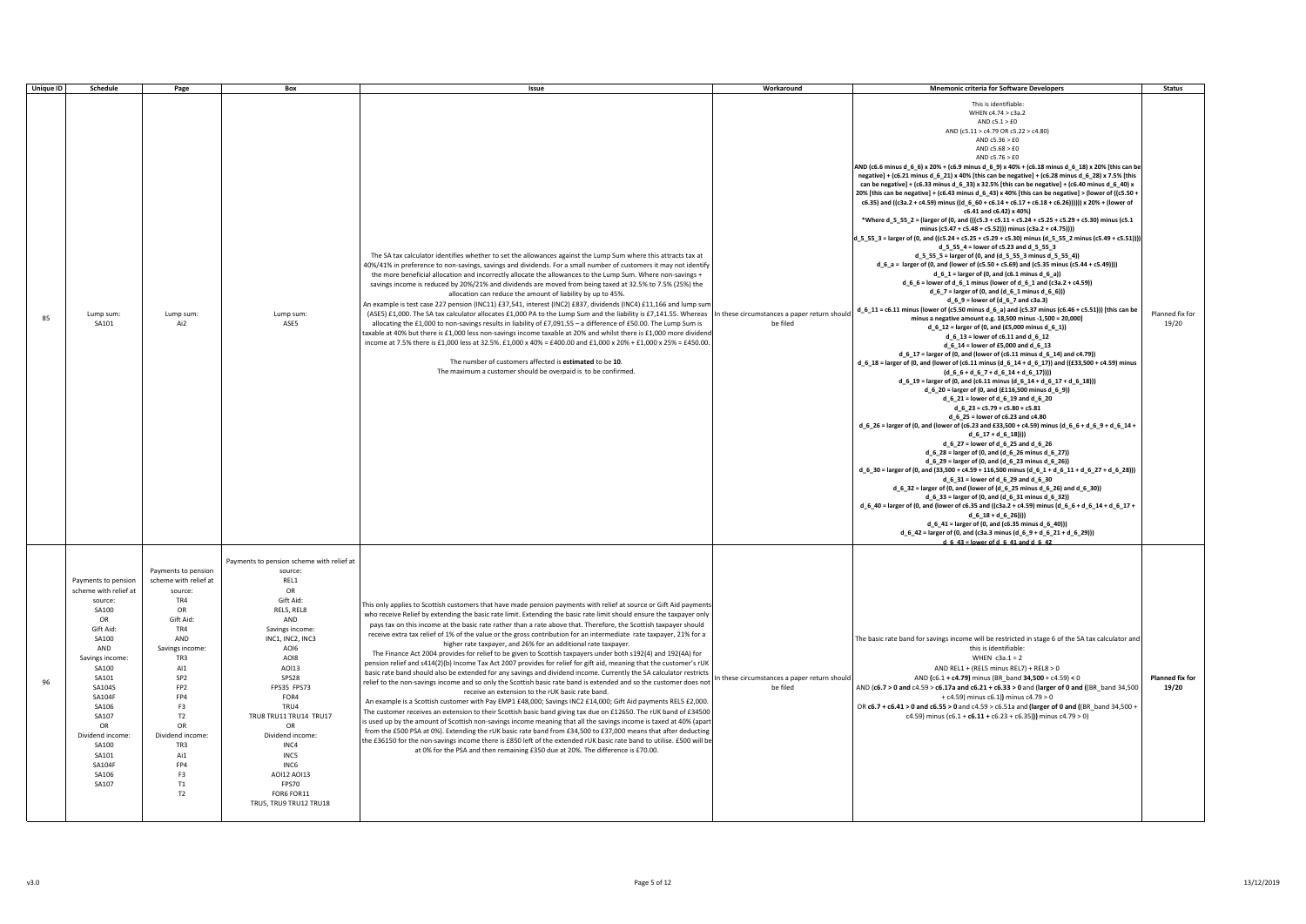| <b>Unique ID</b> | Schedule                                                                                                                                                                                                                                                            | Page                                                                                                                                                                                                                                                                               | Box                                                                                                                                                                                                                                                                                                                                                     | Issue                                                                                                                                                                                                                                                                                                                                                                                                                                                                                                                                                                                                                                                                                                                                                                                                                                                                                                                                                                                                                                                                                                                                                                                                                                                                                                                                                                                                                                                                                                                                                                                                                                                                                                                                                                                   | Workaround                                               | <b>Mnemonic criteria for Software Developers</b>                                                                                                                                                                                                                                                                                                                                                                                                                                                                                                                                                                                                                                                                                                                                                                                                                                                                                                                                                                                                                                                                                                                                                                                                                                                                                                                                                                                                                                                                                                                                                                                                                                                                                                                                                                                                                                                                                                                                                                                                                                                                                                                                                                                                                                                                                                                                                                                                                                                                                                                                                                                                                                                                                                                                                                                                                                                                                                                                                                                                                                                                                                                         | <b>Status</b>            |
|------------------|---------------------------------------------------------------------------------------------------------------------------------------------------------------------------------------------------------------------------------------------------------------------|------------------------------------------------------------------------------------------------------------------------------------------------------------------------------------------------------------------------------------------------------------------------------------|---------------------------------------------------------------------------------------------------------------------------------------------------------------------------------------------------------------------------------------------------------------------------------------------------------------------------------------------------------|-----------------------------------------------------------------------------------------------------------------------------------------------------------------------------------------------------------------------------------------------------------------------------------------------------------------------------------------------------------------------------------------------------------------------------------------------------------------------------------------------------------------------------------------------------------------------------------------------------------------------------------------------------------------------------------------------------------------------------------------------------------------------------------------------------------------------------------------------------------------------------------------------------------------------------------------------------------------------------------------------------------------------------------------------------------------------------------------------------------------------------------------------------------------------------------------------------------------------------------------------------------------------------------------------------------------------------------------------------------------------------------------------------------------------------------------------------------------------------------------------------------------------------------------------------------------------------------------------------------------------------------------------------------------------------------------------------------------------------------------------------------------------------------------|----------------------------------------------------------|--------------------------------------------------------------------------------------------------------------------------------------------------------------------------------------------------------------------------------------------------------------------------------------------------------------------------------------------------------------------------------------------------------------------------------------------------------------------------------------------------------------------------------------------------------------------------------------------------------------------------------------------------------------------------------------------------------------------------------------------------------------------------------------------------------------------------------------------------------------------------------------------------------------------------------------------------------------------------------------------------------------------------------------------------------------------------------------------------------------------------------------------------------------------------------------------------------------------------------------------------------------------------------------------------------------------------------------------------------------------------------------------------------------------------------------------------------------------------------------------------------------------------------------------------------------------------------------------------------------------------------------------------------------------------------------------------------------------------------------------------------------------------------------------------------------------------------------------------------------------------------------------------------------------------------------------------------------------------------------------------------------------------------------------------------------------------------------------------------------------------------------------------------------------------------------------------------------------------------------------------------------------------------------------------------------------------------------------------------------------------------------------------------------------------------------------------------------------------------------------------------------------------------------------------------------------------------------------------------------------------------------------------------------------------------------------------------------------------------------------------------------------------------------------------------------------------------------------------------------------------------------------------------------------------------------------------------------------------------------------------------------------------------------------------------------------------------------------------------------------------------------------------------------------------|--------------------------|
| 85               | Lump sum<br>SA101                                                                                                                                                                                                                                                   | Lump sum<br>Ai <sub>2</sub>                                                                                                                                                                                                                                                        | Lump sum:<br>ASE5                                                                                                                                                                                                                                                                                                                                       | The SA tax calculator identifies whether to set the allowances against the Lump Sum where this attracts tax at<br>40%/41% in preference to non-savings, savings and dividends. For a small number of customers it may not identify<br>the more beneficial allocation and incorrectly allocate the allowances to the Lump Sum. Where non-savings +<br>savings income is reduced by 20%/21% and dividends are moved from being taxed at 32.5% to 7.5% (25%) the<br>allocation can reduce the amount of liability by up to 45%.<br>An example is test case 227 pension (INC11) £37,541, interest (INC2) £837, dividends (INC4) £11,166 and lump sun<br>(ASE5) £1,000. The SA tax calculator allocates £1,000 PA to the Lump Sum and the liability is £7,141.55. Whereas<br>allocating the £1,000 to non-savings results in liability of £7,091.55 - a difference of £50.00. The Lump Sum is<br>taxable at 40% but there is £1,000 less non-savings income taxable at 20% and whilst there is £1,000 more dividenc<br>income at 7.5% there is £1,000 less at 32.5%. £1,000 x 40% = £400.00 and £1,000 x 20% + £1,000 x 25% = £450.00.<br>The number of customers affected is estimated to be 10.<br>The maximum a customer should be overpaid is to be confirmed.                                                                                                                                                                                                                                                                                                                                                                                                                                                                                                                           | In these circumstances a paper return should<br>be filed | This is identifiable:<br>WHEN c4.74 > c3a.2<br>AND $c5.1 > £0$<br>AND (c5.11 > c4.79 OR c5.22 > c4.80)<br>AND $c5.36 > £0$<br>AND $c5.68 > £0$<br>AND $c5.76 > £0$<br>AND (c6.6 minus d_6_6) x 20% + (c6.9 minus d_6_9) x 40% + (c6.18 minus d_6_18) x 20% [this can be<br>negative] + (c6.21 minus d_6_21) x 40% [this can be negative] + (c6.28 minus d_6_28) x 7.5% [this<br>can be negative] + (c6.33 minus d_6_33) x 32.5% [this can be negative] + (c6.40 minus d_6_40) x<br>20% [this can be negative] + (c6.43 minus d_6_43) x 40% [this can be negative] > (lower of ((c5.50 +<br>c6.35) and ((c3a.2 + c4.59) minus ((d_6_60 + c6.14 + c6.17 + c6.18 + c6.26)))))) x 20% + (lower of<br>c6.41 and c6.42) x 40%)<br>*Where d_5_55_2 = (larger of (0, and (((c5.3 + c5.11 + c5.24 + c5.25 + c5.29 + c5.30) minus (c5.1<br>minus (c5.47 + c5.48 + c5.52))) minus (c3a.2 + c4.75))))<br>d_5_55_3 = larger of (0, and ((c5.24 + c5.25 + c5.29 + c5.30) minus (d_5_55_2 minus (c5.49 + c5.51))))<br>d_5_55_4 = lower of c5.23 and d_5_55_3<br>d_5_55_5 = larger of (0, and (d_5_55_3 minus d_5_55_4))<br>$d_6_a =$ larger of (0, and (lower of (c5.50 + c5.69) and (c5.35 minus (c5.44 + c5.49))))<br>$d_6_1 = \text{larger of } (0, \text{ and } (c6.1 \text{ minus } d_6_2)$<br>d_6_6 = lower of d_6_1 minus (lower of d_6_1 and (c3a.2 + c4.59))<br>$d_6$ = 1 arger of (0, and (d_6_1 minus d_6_6)))<br>$d_6_9$ = lower of (d_6_7 and c3a.3)<br>$d_6$ = $11$ = $c_6.11$ minus (lower of (c5.50 minus $d_6$ = a) and (c5.37 minus (c6.46 + c5.51))) [this can be<br>minus a negative amount e.g. 18,500 minus -1,500 = 20,000]<br>$d_6_12 =$ larger of (0, and (£5,000 minus $d_6_1)$ )<br>$d_6_13$ = lower of c6.11 and d_6_12<br>d_6_14 = lower of £5,000 and d_6_13<br>$d_6_1 = 17$ = larger of (0, and (lower of (c6.11 minus $d_6_1 = 14$ ) and c4.79))<br>$d_6$ 18 = larger of (0, and (lower of (c6.11 minus (d_6_14 + d_6_17)) and ((£33,500 + c4.59) minus<br>$(d_6 - 6 + d_6 - 7 + d_6 - 14 + d_6 - 17)))$<br>$d_6_19 =$ larger of (0, and (c6.11 minus (d_6_14 + d_6_17 + d_6_18)))<br>$d_6_20$ = larger of (0, and (£116,500 minus $d_6_9$ ))<br>d_6_21 = lower of d_6_19 and d_6_20<br>$d_{-6}$ $23 = c5.79 + c5.80 + c5.81$<br>d_6_25 = lower of c6.23 and c4.80<br>d_6_26 = larger of (0, and (lower of (c6.23 and £33,500 + c4.59) minus (d_6_6 + d_6_9 + d_6_14 +<br>$d \t6 \t17 + d \t6 \t18))$<br>d_6_27 = lower of d_6_25 and d_6_26<br>d_6_28 = larger of (0, and (d_6_26 minus d_6_27))<br>$d_6_29$ = larger of (0, and (d_6_23 minus d_6_26))<br>d_6_30 = larger of (0, and (33,500 + c4.59 + 116,500 minus (d_6_1 + d_6_11 + d_6_27 + d_6_28)))<br>d_6_31 = lower of d_6_29 and d_6_30<br>$d_6_32$ = larger of (0, and (lower of (d_6_25 minus d_6_26) and d_6_30))<br>d_6_33 = larger of (0, and (d_6_31 minus d_6_32))<br>d_6_40 = larger of (0, and (lower of c6.35 and ((c3a.2 + c4.59) minus (d_6_6 + d_6_14 + d_6_17 +<br>$d_6_18 + d_6_28)$ )))<br>d_6_41 = larger of (0, and (c6.35 minus d_6_40)))<br>$d_6$ = 42 = larger of (0, and (c3a.3 minus (d_6_9 + d_6_21 + d_6_29)))<br>$d \ 6 \ 43 = lower of d \ 6 \ 41 and d \ 6 \ 42$ | Planned fix for<br>19/20 |
| 96               | Payments to pension<br>scheme with relief at<br>source:<br>SA100<br>OR<br>Gift Aid:<br>SA100<br>AND<br>Savings income:<br>SA100<br>SA101<br>SA104S<br><b>SA104F</b><br>SA106<br>SA107<br>OR<br>Dividend income<br>SA100<br>SA101<br><b>SA104F</b><br>SA106<br>SA107 | Payments to pension<br>scheme with relief at<br>source:<br>TR4<br>OR<br>Gift Aid:<br>TR4<br>AND<br>Savings income:<br>TR3<br>AI1<br>SP <sub>2</sub><br>FP <sub>2</sub><br>FP4<br>F3<br>T <sub>2</sub><br>OR<br>Dividend income:<br>TR3<br>Ai1<br>FP4<br>F3<br>T1<br>T <sub>2</sub> | Payments to pension scheme with relief at<br>source:<br>REL1<br>OR<br>Gift Aid:<br>REL5, REL8<br>AND<br>Savings income:<br>INC1, INC2, INC3<br>AOI6<br>AOI8<br>A0113<br>SPS28<br>FPS35 FPS73<br>FOR4<br>TRU4<br>TRU8 TRU11 TRU14 TRU17<br>OR<br>Dividend income<br>INC4<br>INC5<br>INC6<br>A0I12 A0I13<br>FPS70<br>FOR6 FOR11<br>TRU5, TRU9 TRU12 TRU18 | This only applies to Scottish customers that have made pension payments with relief at source or Gift Aid payments<br>who receive Relief by extending the basic rate limit. Extending the basic rate limit should ensure the taxpayer only<br>pays tax on this income at the basic rate rather than a rate above that. Therefore, the Scottish taxpayer should<br>receive extra tax relief of 1% of the value or the gross contribution for an intermediate rate taxpayer, 21% for a<br>higher rate taxpayer, and 26% for an additional rate taxpayer.<br>The Finance Act 2004 provides for relief to be given to Scottish taxpayers under both s192(4) and 192(4A) for<br>pension relief and s414(2)(b) Income Tax Act 2007 provides for relief for gift aid, meaning that the customer's rUK<br>basic rate band should also be extended for any savings and dividend income. Currently the SA calculator restricts<br>relief to the non-savings income and so only the Scottish basic rate band is extended and so the customer does not<br>receive an extension to the rUK basic rate band.<br>An example is a Scottish customer with Pay EMP1 £48,000; Savings INC2 £14,000; Gift Aid payments REL5 £2,000.<br>The customer receives an extension to their Scottish basic band giving tax due on £12650. The rUK band of £34500<br>is used up by the amount of Scottish non-savings income meaning that all the savings income is taxed at 40% (aparl<br>from the £500 PSA at 0%). Extending the rUK basic rate band from £34,500 to £37,000 means that after deducting<br>the £36150 for the non-savings income there is £850 left of the extended rUK basic rate band to utilise. £500 will be<br>at 0% for the PSA and then remaining £350 due at 20%. The difference is £70.00. | In these circumstances a paper return should<br>be filed | The basic rate band for savings income will be restricted in stage 6 of the SA tax calculator and<br>this is identifiable:<br>WHEN $c3a.1 = 2$<br>AND REL1 + (REL5 minus REL7) + REL8 > 0<br>AND (c6.1 + c4.79) minus (BR_band 34,500 + c4.59) < 0<br>AND (c6.7 > 0 and c4.59 > c6.17a and c6.21 + c6.33 > 0 and (larger of 0 and ((BR_band 34,500)<br>+ c4.59) minus c6.1)) minus c4.79 > 0<br>OR c6.7 + c6.41 > 0 and c6.55 > 0 and c4.59 > c6.51a and (larger of 0 and ((BR_band 34,500 +<br>c4.59) minus (c6.1 + c6.11 + c6.23 + c6.35))) minus c4.79 > 0)                                                                                                                                                                                                                                                                                                                                                                                                                                                                                                                                                                                                                                                                                                                                                                                                                                                                                                                                                                                                                                                                                                                                                                                                                                                                                                                                                                                                                                                                                                                                                                                                                                                                                                                                                                                                                                                                                                                                                                                                                                                                                                                                                                                                                                                                                                                                                                                                                                                                                                                                                                                                           | Planned fix for<br>19/20 |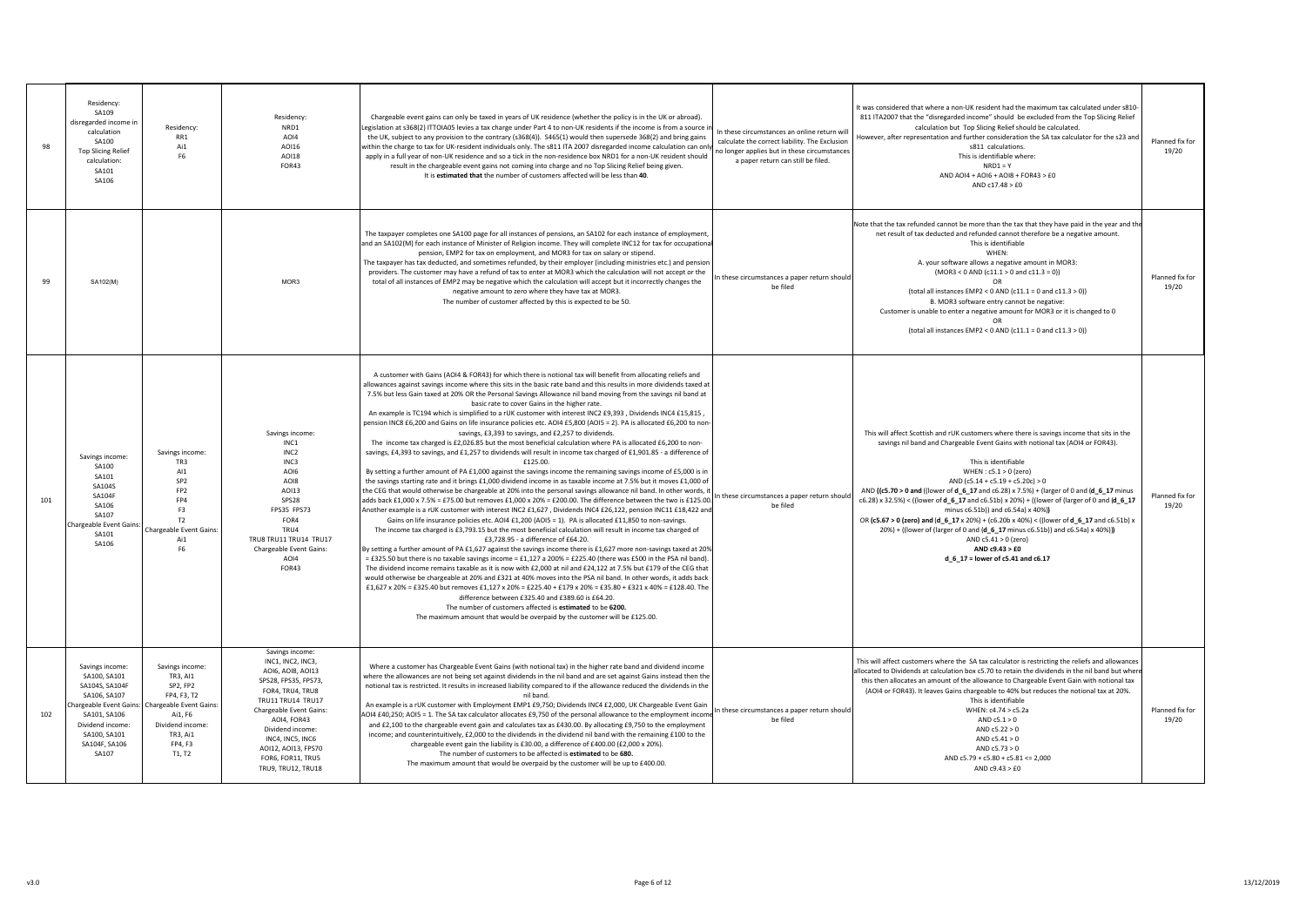| 98  | Residency:<br>SA109<br>disregarded income in<br>calculation<br>SA100<br><b>Top Slicing Relief</b><br>calculation:<br>SA101<br>SA106             | Residency:<br>RR1<br>Ai1<br>F6                                                                                                                                            | Residency:<br>NRD1<br>AO14<br>A0116<br>A0118<br><b>FOR43</b>                                                                                                                                                                                                                          | Chargeable event gains can only be taxed in years of UK residence (whether the policy is in the UK or abroad).<br>egislation at s368(2) ITTOIA05 levies a tax charge under Part 4 to non-UK residents if the income is from a source ir<br>the UK, subject to any provision to the contrary (s368(4)). S465(1) would then supersede 368(2) and bring gains<br>within the charge to tax for UK-resident individuals only. The s811 ITA 2007 disregarded income calculation can only<br>apply in a full year of non-UK residence and so a tick in the non-residence box NRD1 for a non-UK resident should<br>result in the chargeable event gains not coming into charge and no Top Slicing Relief being given.<br>It is estimated that the number of customers affected will be less than 40.                                                                                                                                                                                                                                                                                                                                                                                                                                                                                                                                                                                                                                                                                                                                                                                                                                                                                                                                                                                                                                                                                                                                                                                                                                                                                                                                                                                                                                                                                                                                                                                                                                                                                                                                                                                                                                   | In these circumstances an online return will<br>calculate the correct liability. The Exclusion<br>no longer applies but in these circumstances<br>a paper return can still be filed. | It was considered that where a non-UK resident had the maximum tax calculated under s810<br>811 ITA2007 that the "disregarded income" should be excluded from the Top Slicing Relief<br>calculation but Top Slicing Relief should be calculated.<br>However, after representation and further consideration the SA tax calculator for the s23 and<br>s811 calculations<br>This is identifiable where:<br>$NRD1 = Y$<br>AND AOI4 + AOI6 + AOI8 + FOR43 > £0<br>AND $c17.48 > £0$                                                                                                                                                                                                                                                                                         | Planned fix for<br>19/20 |
|-----|-------------------------------------------------------------------------------------------------------------------------------------------------|---------------------------------------------------------------------------------------------------------------------------------------------------------------------------|---------------------------------------------------------------------------------------------------------------------------------------------------------------------------------------------------------------------------------------------------------------------------------------|--------------------------------------------------------------------------------------------------------------------------------------------------------------------------------------------------------------------------------------------------------------------------------------------------------------------------------------------------------------------------------------------------------------------------------------------------------------------------------------------------------------------------------------------------------------------------------------------------------------------------------------------------------------------------------------------------------------------------------------------------------------------------------------------------------------------------------------------------------------------------------------------------------------------------------------------------------------------------------------------------------------------------------------------------------------------------------------------------------------------------------------------------------------------------------------------------------------------------------------------------------------------------------------------------------------------------------------------------------------------------------------------------------------------------------------------------------------------------------------------------------------------------------------------------------------------------------------------------------------------------------------------------------------------------------------------------------------------------------------------------------------------------------------------------------------------------------------------------------------------------------------------------------------------------------------------------------------------------------------------------------------------------------------------------------------------------------------------------------------------------------------------------------------------------------------------------------------------------------------------------------------------------------------------------------------------------------------------------------------------------------------------------------------------------------------------------------------------------------------------------------------------------------------------------------------------------------------------------------------------------------|--------------------------------------------------------------------------------------------------------------------------------------------------------------------------------------|-------------------------------------------------------------------------------------------------------------------------------------------------------------------------------------------------------------------------------------------------------------------------------------------------------------------------------------------------------------------------------------------------------------------------------------------------------------------------------------------------------------------------------------------------------------------------------------------------------------------------------------------------------------------------------------------------------------------------------------------------------------------------|--------------------------|
| 99  | SA102(M)                                                                                                                                        |                                                                                                                                                                           | MOR3                                                                                                                                                                                                                                                                                  | The taxpayer completes one SA100 page for all instances of pensions, an SA102 for each instance of employment,<br>and an SA102(M) for each instance of Minister of Religion income. They will complete INC12 for tax for occupationa<br>pension, EMP2 for tax on employment, and MOR3 for tax on salary or stipend.<br>The taxpayer has tax deducted, and sometimes refunded, by their employer (including ministries etc.) and pensior<br>providers. The customer may have a refund of tax to enter at MOR3 which the calculation will not accept or the<br>total of all instances of EMP2 may be negative which the calculation will accept but it incorrectly changes the<br>negative amount to zero where they have tax at MOR3.<br>The number of customer affected by this is expected to be 50.                                                                                                                                                                                                                                                                                                                                                                                                                                                                                                                                                                                                                                                                                                                                                                                                                                                                                                                                                                                                                                                                                                                                                                                                                                                                                                                                                                                                                                                                                                                                                                                                                                                                                                                                                                                                                          | n these circumstances a paper return should<br>be filed                                                                                                                              | Note that the tax refunded cannot be more than the tax that they have paid in the year and the<br>net result of tax deducted and refunded cannot therefore be a negative amount.<br>This is identifiable<br>WHFN:<br>A. your software allows a negative amount in MOR3:<br>$(MOR3 < 0 AND (c11.1 > 0 and c11.3 = 0))$<br>(total all instances EMP2 < $0$ AND ( $c11.1 = 0$ and $c11.3 > 0$ ))<br>B. MOR3 software entry cannot be negative:<br>Customer is unable to enter a negative amount for MOR3 or it is changed to 0<br>OR<br>(total all instances EMP2 < $0$ AND (c11.1 = $0$ and c11.3 > 0))                                                                                                                                                                   | Planned fix for<br>19/20 |
| 101 | Savings income<br>SA100<br>SA101<br>SA104S<br>SA104F<br>SA106<br>SA107<br>Chargeable Event Gains:<br>SA101<br>SA106                             | Savings income<br>TR3<br>AI1<br>SP <sub>2</sub><br>FP <sub>2</sub><br>FP4<br>F3<br>T2<br><b>Chargeable Event Gains</b><br>Ai1<br>F6                                       | Savings income:<br>INC <sub>1</sub><br>INC <sub>2</sub><br>INC3<br>AOI6<br>AO <sub>18</sub><br>A0113<br>SPS28<br>FPS35 FPS73<br>FOR4<br>TRU4<br>TRU8 TRU11 TRU14 TRU17<br>Chargeable Event Gains:<br>AOI4<br>FOR43                                                                    | A customer with Gains (AOI4 & FOR43) for which there is notional tax will benefit from allocating reliefs and<br>allowances against savings income where this sits in the basic rate band and this results in more dividends taxed at<br>7.5% but less Gain taxed at 20% OR the Personal Savings Allowance nil band moving from the savings nil band at<br>basic rate to cover Gains in the higher rate.<br>An example is TC194 which is simplified to a rUK customer with interest INC2 £9,393, Dividends INC4 £15,815,<br>pension INC8 £6,200 and Gains on life insurance policies etc. AOI4 £5,800 (AOI5 = 2). PA is allocated £6,200 to non-<br>savings, £3,393 to savings, and £2,257 to dividends.<br>The income tax charged is £2,026.85 but the most beneficial calculation where PA is allocated £6,200 to non-<br>savings, £4,393 to savings, and £1,257 to dividends will result in income tax charged of £1,901.85 - a difference of<br>£125.00.<br>By setting a further amount of PA £1,000 against the savings income the remaining savings income of £5,000 is in<br>the savings starting rate and it brings £1,000 dividend income in as taxable income at 7.5% but it moves £1,000 of<br>the CEG that would otherwise be chargeable at 20% into the personal savings allowance nil band. In other words, it<br>adds back £1,000 x 7.5% = £75.00 but removes £1,000 x 20% = £200.00. The difference between the two is £125.00<br>Another example is a rUK customer with interest INC2 £1,627, Dividends INC4 £26,122, pension INC11 £18,422 and<br>Gains on life insurance policies etc. AOI4 £1,200 (AOI5 = 1). PA is allocated £11,850 to non-savings.<br>The income tax charged is £3,793.15 but the most beneficial calculation will result in income tax charged of<br>£3.728.95 - a difference of £64.20.<br>By setting a further amount of PA £1,627 against the savings income there is £1,627 more non-savings taxed at 20%<br>= £325.50 but there is no taxable savings income = £1,127 a 200% = £225.40 (there was £500 in the PSA nil band).<br>The dividend income remains taxable as it is now with £2,000 at nil and £24,122 at 7.5% but £179 of the CEG that<br>would otherwise be chargeable at 20% and £321 at 40% moves into the PSA nil band. In other words, it adds back<br>£1,627 x 20% = £325.40 but removes £1,127 x 20% = £225.40 + £179 x 20% = £35.80 + £321 x 40% = £128.40. The<br>difference between £325.40 and £389.60 is £64.20.<br>The number of customers affected is estimated to be 6200.<br>The maximum amount that would be overpaid by the customer will be £125.00. | n these circumstances a paper return should<br>be filed                                                                                                                              | This will affect Scottish and rUK customers where there is savings income that sits in the<br>savings nil band and Chargeable Event Gains with notional tax (AOI4 or FOR43).<br>This is identifiable<br>WHEN: $c5.1 > 0$ (zero)<br>AND (c5.14 + c5.19 + c5.20c) > 0<br>AND ((c5.70 > 0 and ((lower of d_6_17 and c6.28) x 7.5%) + (larger of 0 and (d_6_17 minus<br>c6.28) x 32.5%) < ((lower of d_6_17 and c6.51b) x 20%) + ((lower of (larger of 0 and (d_6_17<br>minus c6.51b)) and c6.54a) x 40%))<br>OR (c5.67 > 0 (zero) and (d 6 17 x 20%) + (c6.20b x 40%) < ((lower of d 6 17 and c6.51b) x<br>20%) + ((lower of (larger of 0 and (d 6 17 minus c6.51b)) and c6.54a) x 40%)))<br>AND $c5.41 > 0$ (zero)<br>AND c9.43 > £0<br>d_6_17 = lower of c5.41 and c6.17 | Planned fix for<br>19/20 |
| 102 | Savings income:<br>SA100, SA101<br>SA104S, SA104F<br>SA106, SA107<br>SA101, SA106<br>Dividend income:<br>SA100, SA101<br>SA104F, SA106<br>SA107 | Savings income:<br>TR3, AI1<br>SP2, FP2<br>FP4, F3, T2<br>Chargeable Event Gains: Chargeable Event Gains:<br>Ai1. F6<br>Dividend income:<br>TR3, Ai1<br>FP4, F3<br>T1, T2 | Savings income:<br>INC1, INC2, INC3,<br>AOI6, AOI8, AOI13<br>SPS28, FPS35, FPS73,<br>FOR4, TRU4, TRU8<br>TRU11 TRU14 TRU17<br><b>Chargeable Event Gains:</b><br>AOI4, FOR43<br>Dividend income:<br>INC4, INC5, INC6<br>AOI12, AOI13, FPS70<br>FOR6, FOR11, TRU5<br>TRU9, TRU12, TRU18 | Where a customer has Chargeable Event Gains (with notional tax) in the higher rate band and dividend income<br>where the allowances are not being set against dividends in the nil band and are set against Gains instead then the<br>notional tax is restricted. It results in increased liability compared to if the allowance reduced the dividends in the<br>nil band.<br>An example is a rUK customer with Employment EMP1 £9,750; Dividends INC4 £2,000, UK Chargeable Event Gain<br>AOI4 £40,250; AOI5 = 1. The SA tax calculator allocates £9,750 of the personal allowance to the employment incom<br>and £2,100 to the chargeable event gain and calculates tax as £430.00. By allocating £9,750 to the employment<br>income; and counterintuitively, £2,000 to the dividends in the dividend nil band with the remaining £100 to the<br>chargeable event gain the liability is £30.00, a difference of £400.00 (£2,000 x 20%).<br>The number of customers to be affected is estimated to be 680.<br>The maximum amount that would be overpaid by the customer will be up to £400.00.                                                                                                                                                                                                                                                                                                                                                                                                                                                                                                                                                                                                                                                                                                                                                                                                                                                                                                                                                                                                                                                                                                                                                                                                                                                                                                                                                                                                                                                                                                                                | In these circumstances a paper return should<br>be filed                                                                                                                             | This will affect customers where the SA tax calculator is restricting the reliefs and allowances<br>allocated to Dividends at calculation box c5.70 to retain the dividends in the nil band but when<br>this then allocates an amount of the allowance to Chargeable Event Gain with notional tax<br>(AOI4 or FOR43). It leaves Gains chargeable to 40% but reduces the notional tax at 20%.<br>This is identifiable<br>WHEN: c4.74 > c5.2a<br>AND $c5.1 > 0$<br>AND $c5.22 > 0$<br>AND $c5.41 > 0$<br>AND $c5.73 > 0$<br>AND $c5.79 + c5.80 + c5.81 \le 2,000$<br>AND $c9.43 > E0$                                                                                                                                                                                     | Planned fix for<br>19/20 |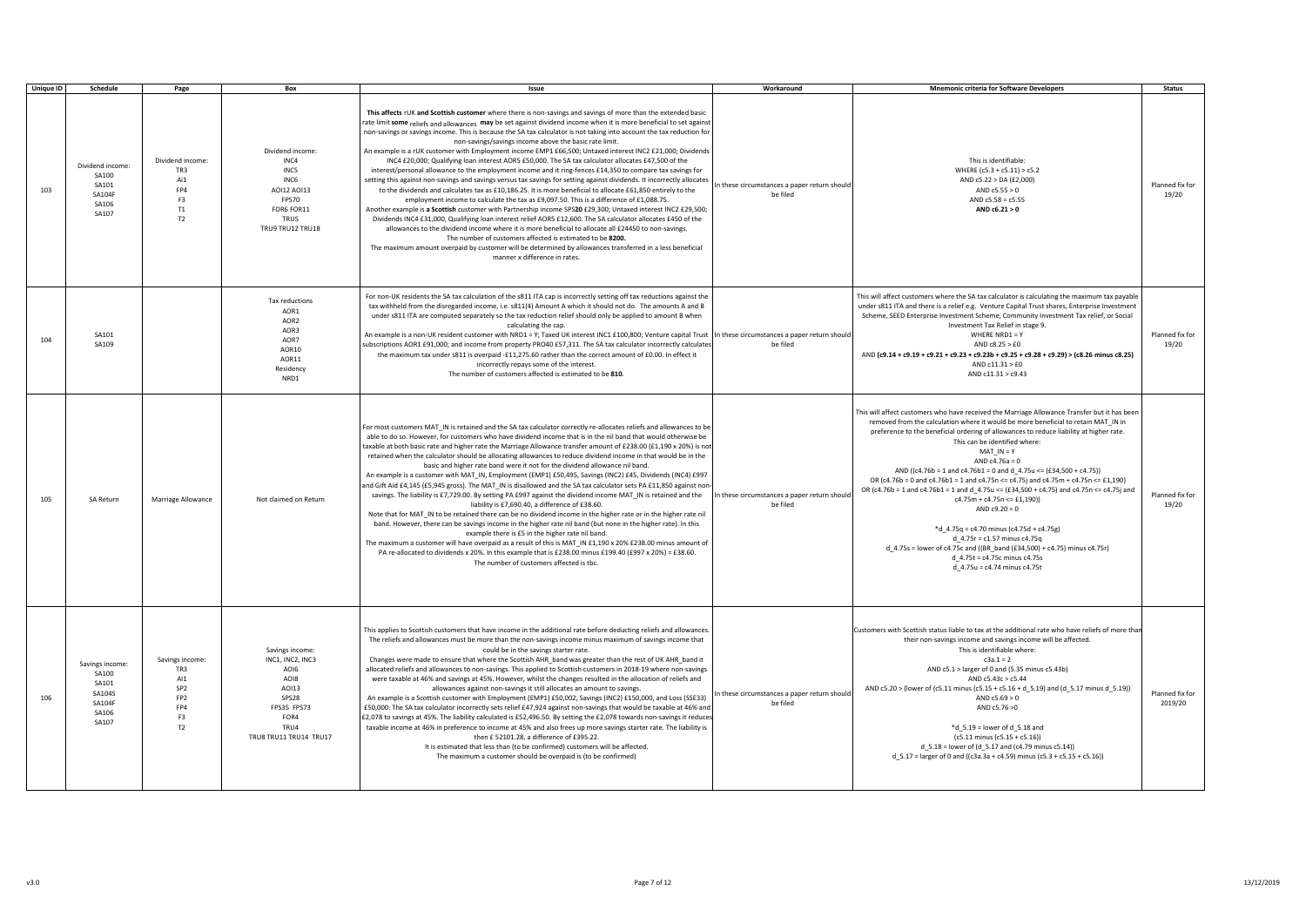| <b>Unique ID</b> | Schedule                                                                | Page                                                                                   | Box                                                                                                                            | Issue                                                                                                                                                                                                                                                                                                                                                                                                                                                                                                                                                                                                                                                                                                                                                                                                                                                                                                                                                                                                                                                                                                                                                                                                                                                                                                                                                                                                                                                                                                                                                                                                                                                | Workaround                                               | <b>Mnemonic criteria for Software Developers</b>                                                                                                                                                                                                                                                                                                                                                                                                                                                                                                                                                                                                                                                                                                                                                                                                                                                 | <b>Status</b>              |
|------------------|-------------------------------------------------------------------------|----------------------------------------------------------------------------------------|--------------------------------------------------------------------------------------------------------------------------------|------------------------------------------------------------------------------------------------------------------------------------------------------------------------------------------------------------------------------------------------------------------------------------------------------------------------------------------------------------------------------------------------------------------------------------------------------------------------------------------------------------------------------------------------------------------------------------------------------------------------------------------------------------------------------------------------------------------------------------------------------------------------------------------------------------------------------------------------------------------------------------------------------------------------------------------------------------------------------------------------------------------------------------------------------------------------------------------------------------------------------------------------------------------------------------------------------------------------------------------------------------------------------------------------------------------------------------------------------------------------------------------------------------------------------------------------------------------------------------------------------------------------------------------------------------------------------------------------------------------------------------------------------|----------------------------------------------------------|--------------------------------------------------------------------------------------------------------------------------------------------------------------------------------------------------------------------------------------------------------------------------------------------------------------------------------------------------------------------------------------------------------------------------------------------------------------------------------------------------------------------------------------------------------------------------------------------------------------------------------------------------------------------------------------------------------------------------------------------------------------------------------------------------------------------------------------------------------------------------------------------------|----------------------------|
| 103              | Dividend income<br>SA100<br>SA101<br><b>SA104F</b><br>SA106<br>SA107    | Dividend income:<br>TR3<br>Ai1<br>FP4<br>F3<br>T1<br>T <sub>2</sub>                    | Dividend income<br>INC4<br>INC5<br>INC <sub>6</sub><br>A0I12 A0I13<br>FPS70<br>FOR6 FOR11<br>TRU5<br>TRU9 TRU12 TRU18          | This affects rUK and Scottish customer where there is non-savings and savings of more than the extended basic<br>rate limit some reliefs and allowances may be set against dividend income when it is more beneficial to set against<br>non-savings or savings income. This is because the SA tax calculator is not taking into account the tax reduction for<br>non-savings/savings income above the basic rate limit.<br>An example is a rUK customer with Employment income EMP1 £66,500; Untaxed interest INC2 £21,000; Dividends<br>INC4 £20,000; Qualifying loan interest AOR5 £50,000. The SA tax calculator allocates £47,500 of the<br>interest/personal allowance to the employment income and it ring-fences £14,350 to compare tax savings for<br>setting this against non-savings and savings versus tax savings for setting against dividends. It incorrectly allocates<br>to the dividends and calculates tax as £10,186.25. It is more beneficial to allocate £61,850 entirely to the<br>employment income to calculate the tax as £9,097.50. This is a difference of £1,088.75.<br>Another example is a Scottish customer with Partnership income SPS20 £29,300; Untaxed interest INC2 £29,500;<br>Dividends INC4 £31,000, Qualifying loan interest relief AOR5 £12,600. The SA calculator allocates £450 of the<br>allowances to the dividend income where it is more beneficial to allocate all £24450 to non-savings.<br>The number of customers affected is estimated to be 8200.<br>The maximum amount overpaid by customer will be determined by allowances transferred in a less beneficial<br>manner x difference in rates. | In these circumstances a paper return should<br>be filed | This is identifiable:<br>WHERE (c5.3 + c5.11) > c5.2<br>AND c5.22 > DA (£2,000)<br>AND $c5.55 > 0$<br>AND $c5.58 = c5.55$<br>AND c6.21 > 0                                                                                                                                                                                                                                                                                                                                                                                                                                                                                                                                                                                                                                                                                                                                                       | Planned fix for<br>19/20   |
| 104              | SA101<br>SA109                                                          |                                                                                        | Tax reductions<br>AOR1<br>AOR2<br>AOR3<br>AOR7<br>AOR10<br>AOR11<br>Residency<br>NRD1                                          | For non-UK residents the SA tax calculation of the s811 ITA cap is incorrectly setting off tax reductions against the<br>tax withheld from the disregarded income, i.e. s811(4) Amount A which it should not do. The amounts A and B<br>under s811 ITA are computed separately so the tax reduction relief should only be applied to amount B when<br>calculating the cap.<br>An example is a non-UK resident customer with NRD1 = Y; Taxed UK interest INC1 £100,800; Venture capital Trust In these circumstances a paper return should<br>subscriptions AOR1 £91,000; and income from property PRO40 £57,311. The SA tax calculator incorrectly calculates<br>the maximum tax under s811 is overpaid -£11,275.60 rather than the correct amount of £0.00. In effect it<br>incorrectly repays some of the interest.<br>The number of customers affected is estimated to be 810.                                                                                                                                                                                                                                                                                                                                                                                                                                                                                                                                                                                                                                                                                                                                                                    | be filed                                                 | This will affect customers where the SA tax calculator is calculating the maximum tax payable<br>under s811 ITA and there is a relief e.g. Venture Capital Trust shares, Enterprise Investment<br>Scheme, SEED Enterprise Investment Scheme, Community Investment Tax relief, or Social<br>Investment Tax Relief in stage 9.<br>WHERE NRD1 = $Y$<br>AND $c8.25 > £0$<br>AND (c9.14 + c9.19 + c9.21 + c9.23 + c9.23b + c9.25 + c9.28 + c9.29) > (c8.26 minus c8.25)<br>AND c11.31 > £0<br>AND c11.31 > c9.43                                                                                                                                                                                                                                                                                                                                                                                      | Planned fix for<br>19/20   |
| 105              | <b>SA Return</b>                                                        | Marriage Allowance                                                                     | Not claimed on Return                                                                                                          | For most customers MAT_IN is retained and the SA tax calculator correctly re-allocates reliefs and allowances to be<br>able to do so. However, for customers who have dividend income that is in the nil band that would otherwise be<br>taxable at both basic rate and higher rate the Marriage Allowance transfer amount of £238.00 (£1,190 x 20%) is not<br>retained when the calculator should be allocating allowances to reduce dividend income in that would be in the<br>basic and higher rate band were it not for the dividend allowance nil band.<br>An example is a customer with MAT IN, Employment (EMP1) £50,495, Savings (INC2) £45, Dividends (INC4) £997<br>and Gift Aid £4,145 (£5,945 gross). The MAT IN is disallowed and the SA tax calculator sets PA £11,850 against non-<br>savings. The liability is £7,729.00. By setting PA £997 against the dividend income MAT_IN is retained and the<br>liability is £7,690.40, a difference of £38.60.<br>Note that for MAT_IN to be retained there can be no dividend income in the higher rate or in the higher rate nil<br>band. However, there can be savings income in the higher rate nil band (but none in the higher rate). In this<br>example there is £5 in the higher rate nil band.<br>The maximum a customer will have overpaid as a result of this is MAT IN £1,190 x 20% £238.00 minus amount of<br>PA re-allocated to dividends x 20%. In this example that is £238.00 minus £199.40 (£997 x 20%) = £38.60.<br>The number of customers affected is tbc.                                                                                                              | In these circumstances a paper return should<br>be filed | This will affect customers who have received the Marriage Allowance Transfer but it has been<br>removed from the calculation where it would be more beneficial to retain MAT IN in<br>preference to the beneficial ordering of allowances to reduce liability at higher rate.<br>This can be identified where:<br>$MAT IN = Y$<br>$AND c4.76a = 0$<br>AND ((c4.76b = 1 and c4.76b1 = 0 and d 4.75u <= $(£34,500 + c4.75)$ )<br>OR (c4.76b = 0 and c4.76b1 = 1 and c4.75n <= c4.75j and c4.75m + c4.75n <= £1,190)<br>OR (c4.76b = 1 and c4.76b1 = 1 and d 4.75u <= (£34,500 + c4.75) and c4.75n <= c4.75j and<br>$c4.75m + c4.75n \le f1,190$<br>$AND c9.20 = 0$<br>$*d_4.75q = c4.70$ minus (c4.75d + c4.75g)<br>$d_{-}4.75r = c1.57$ minus c4.75q<br>d 4.75s = lower of c4.75c and ((BR band (£34,500) + c4.75) minus c4.75r)<br>d 4.75t = c4.75c minus c4.75s<br>d_4.75u = c4.74 minus c4.75t | Planned fix for<br>19/20   |
| 106              | Savings income:<br>SA100<br>SA101<br>SA104S<br>SA104F<br>SA106<br>SA107 | Savings income:<br>TR3<br>AI1<br>SP <sub>2</sub><br>FP <sub>2</sub><br>FP4<br>F3<br>T2 | Savings income:<br>INC1, INC2, INC3<br>AOI6<br>AOI8<br>AOI13<br>SPS28<br>FPS35 FPS73<br>FOR4<br>TRU4<br>TRU8 TRU11 TRU14 TRU17 | This applies to Scottish customers that have income in the additional rate before deducting reliefs and allowances.<br>The reliefs and allowances must be more than the non-savings income minus maximum of savings income that<br>could be in the savings starter rate.<br>Changes were made to ensure that where the Scottish AHR_band was greater than the rest of UK AHR_band it<br>allocated reliefs and allowances to non-savings. This applied to Scottish customers in 2018-19 where non-savings<br>were taxable at 46% and savings at 45%. However, whilst the changes resulted in the allocation of reliefs and<br>allowances against non-savings it still allocates an amount to savings.<br>An example is a Scottish customer with Employment (EMP1) £50,002, Savings (INC2) £150,000, and Loss (SSE33)<br>£50,000. The SA tax calculator incorrectly sets relief £47,924 against non-savings that would be taxable at 46% and<br>£2,078 to savings at 45%. The liability calculated is £52,496.50. By setting the £2,078 towards non-savings it reduces<br>taxable income at 46% in preference to income at 45% and also frees up more savings starter rate. The liability is<br>then £52101.28, a difference of £395.22.<br>It is estimated that less than (to be confirmed) customers will be affected.<br>The maximum a customer should be overpaid is (to be confirmed)                                                                                                                                                                                                                                                             | In these circumstances a paper return should<br>be filed | Customers with Scottish status liable to tax at the additional rate who have reliefs of more than<br>their non-savings income and savings income will be affected.<br>This is identifiable where:<br>$c3a.1 = 2$<br>AND c5.1 > larger of 0 and (5.35 minus c5.43b)<br>AND c5.43c > c5.44<br>AND c5.20 > (lower of (c5.11 minus (c5.15 + c5.16 + d_5.19) and (d_5.17 minus d_5.19))<br>AND $c5.69 > 0$<br>AND c5.76 >0<br>$*d$ 5.19 = lower of d 5.18 and<br>$(c5.11 \text{ minus } (c5.15 + c5.16))$<br>$d_{-}5.18$ = lower of (d $_{-}5.17$ and (c4.79 minus c5.14))<br>$d_{-}5.17$ = larger of 0 and ((c3a.3a + c4.59) minus (c5.3 + c5.15 + c5.16))                                                                                                                                                                                                                                           | Planned fix for<br>2019/20 |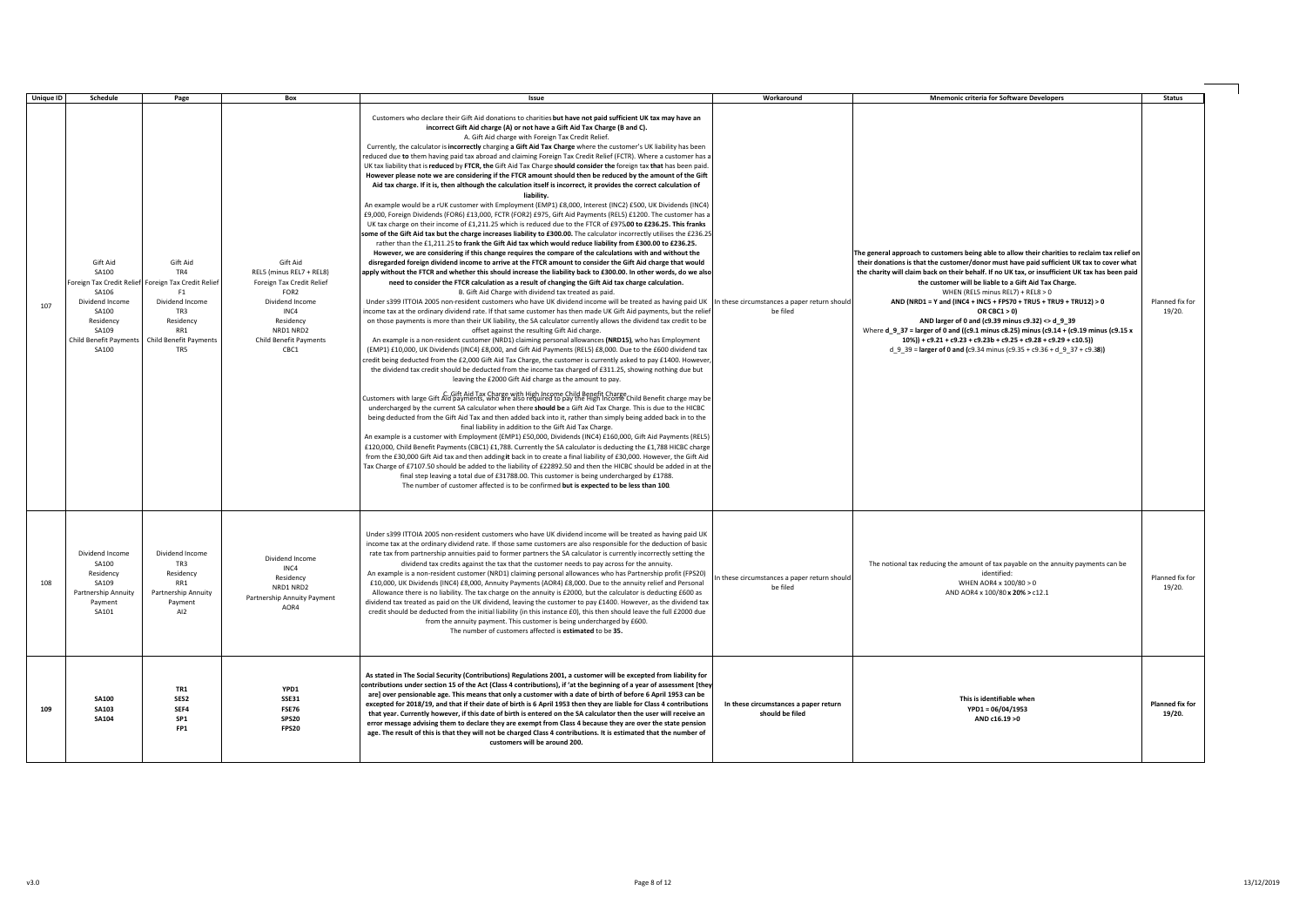| <b>Unique ID</b> | Schedule                                                                                                                      | Page                                                                                                                                                        | Box                                                                                                                                                                          | Issue                                                                                                                                                                                                                                                                                                                                                                                                                                                                                                                                                                                                                                                                                                                                                                                                                                                                                                                                                                                                                                                                                                                                                                                                                                                                                                                                                                                                                                                                                                                                                                                                                                                                                                                                                                                                                                                                                                                                                                                                                                                                                                                                                                                                                                                                                                                                                                                                                                                                                                                                                                                                                                                                                                                                                                                                                                                                                                                                                                                                                                                                                                                                                                                                                                                                                                                                                                                                                                                                                                                                                                                                                                                                                                                                                                                                                                                                                                                                                                                                                                                                                                                             | Workaround                                               | <b>Mnemonic criteria for Software Developers</b>                                                                                                                                                                                                                                                                                                                                                                                                                                                                                                                                                                                                                                                                                                                                       | <b>Status</b>                    |
|------------------|-------------------------------------------------------------------------------------------------------------------------------|-------------------------------------------------------------------------------------------------------------------------------------------------------------|------------------------------------------------------------------------------------------------------------------------------------------------------------------------------|-----------------------------------------------------------------------------------------------------------------------------------------------------------------------------------------------------------------------------------------------------------------------------------------------------------------------------------------------------------------------------------------------------------------------------------------------------------------------------------------------------------------------------------------------------------------------------------------------------------------------------------------------------------------------------------------------------------------------------------------------------------------------------------------------------------------------------------------------------------------------------------------------------------------------------------------------------------------------------------------------------------------------------------------------------------------------------------------------------------------------------------------------------------------------------------------------------------------------------------------------------------------------------------------------------------------------------------------------------------------------------------------------------------------------------------------------------------------------------------------------------------------------------------------------------------------------------------------------------------------------------------------------------------------------------------------------------------------------------------------------------------------------------------------------------------------------------------------------------------------------------------------------------------------------------------------------------------------------------------------------------------------------------------------------------------------------------------------------------------------------------------------------------------------------------------------------------------------------------------------------------------------------------------------------------------------------------------------------------------------------------------------------------------------------------------------------------------------------------------------------------------------------------------------------------------------------------------------------------------------------------------------------------------------------------------------------------------------------------------------------------------------------------------------------------------------------------------------------------------------------------------------------------------------------------------------------------------------------------------------------------------------------------------------------------------------------------------------------------------------------------------------------------------------------------------------------------------------------------------------------------------------------------------------------------------------------------------------------------------------------------------------------------------------------------------------------------------------------------------------------------------------------------------------------------------------------------------------------------------------------------------------------------------------------------------------------------------------------------------------------------------------------------------------------------------------------------------------------------------------------------------------------------------------------------------------------------------------------------------------------------------------------------------------------------------------------------------------------------------------------------------|----------------------------------------------------------|----------------------------------------------------------------------------------------------------------------------------------------------------------------------------------------------------------------------------------------------------------------------------------------------------------------------------------------------------------------------------------------------------------------------------------------------------------------------------------------------------------------------------------------------------------------------------------------------------------------------------------------------------------------------------------------------------------------------------------------------------------------------------------------|----------------------------------|
| 107              | Gift Aid<br>SA100<br><b>SA106</b><br>Dividend Income<br>SA100<br>Residency<br>SA109<br><b>Child Benefit Payments</b><br>SA100 | Gift Aid<br>TR4<br>Foreign Tax Credit Relief Foreign Tax Credit Relief<br>F1<br>Dividend Income<br>TR3<br>Residency<br>RR1<br>Child Benefit Payments<br>TR5 | Gift Aid<br>REL5 (minus REL7 + REL8)<br>Foreign Tax Credit Relief<br>FOR <sub>2</sub><br>Dividend Income<br>INC4<br>Residency<br>NRD1 NRD2<br>Child Benefit Payments<br>CBC1 | Customers who declare their Gift Aid donations to charities but have not paid sufficient UK tax may have an<br>incorrect Gift Aid charge (A) or not have a Gift Aid Tax Charge (B and C).<br>A. Gift Aid charge with Foreign Tax Credit Relief.<br>Currently, the calculator is incorrectly charging a Gift Aid Tax Charge where the customer's UK liability has been<br>reduced due to them having paid tax abroad and claiming Foreign Tax Credit Relief (FCTR). Where a customer has a<br>UK tax liability that is reduced by FTCR, the Gift Aid Tax Charge should consider the foreign tax that has been paid.<br>However please note we are considering if the FTCR amount should then be reduced by the amount of the Gift<br>Aid tax charge. If it is, then although the calculation itself is incorrect, it provides the correct calculation of<br>liability.<br>An example would be a rUK customer with Employment (EMP1) £8,000, Interest (INC2) £500, UK Dividends (INC4)<br>£9,000, Foreign Dividends (FOR6) £13,000, FCTR (FOR2) £975, Gift Aid Payments (REL5) £1200. The customer has a<br>UK tax charge on their income of £1,211.25 which is reduced due to the FTCR of £975.00 to £236.25. This franks<br>some of the Gift Aid tax but the charge increases liability to £300.00. The calculator incorrectly utilises the £236.25<br>rather than the £1,211.25 to frank the Gift Aid tax which would reduce liability from £300.00 to £236.25.<br>However, we are considering if this change requires the compare of the calculations with and without the<br>disregarded foreign dividend income to arrive at the FTCR amount to consider the Gift Aid charge that would<br>apply without the FTCR and whether this should increase the liability back to £300.00. In other words, do we also<br>need to consider the FTCR calculation as a result of changing the Gift Aid tax charge calculation.<br>B. Gift Aid Charge with dividend tax treated as paid.<br>Under s399 ITTOIA 2005 non-resident customers who have UK dividend income will be treated as having paid UK   In these circumstances a paper return should<br>income tax at the ordinary dividend rate. If that same customer has then made UK Gift Aid payments, but the relief<br>on those payments is more than their UK liability, the SA calculator currently allows the dividend tax credit to be<br>offset against the resulting Gift Aid charge.<br>An example is a non-resident customer (NRD1) claiming personal allowances (NRD15), who has Employment<br>(EMP1) £10,000, UK Dividends (INC4) £8,000, and Gift Aid Payments (REL5) £8,000. Due to the £600 dividend tax<br>credit being deducted from the £2,000 Gift Aid Tax Charge, the customer is currently asked to pay £1400. However<br>the dividend tax credit should be deducted from the income tax charged of £311.25, showing nothing due but<br>leaving the £2000 Gift Aid charge as the amount to pay.<br>C. Gift Aid Tax Charge with High Income Child Benefit Charge<br>Customers with large Gift Aid payments, who are also required to pay the High Income Child Benefit charge may be<br>undercharged by the current SA calculator when there should be a Gift Aid Tax Charge. This is due to the HICBC<br>being deducted from the Gift Aid Tax and then added back into it, rather than simply being added back in to the<br>final liability in addition to the Gift Aid Tax Charge.<br>An example is a customer with Employment (EMP1) £50,000, Dividends (INC4) £160,000, Gift Aid Payments (REL5)<br>£120,000, Child Benefit Payments (CBC1) £1,788. Currently the SA calculator is deducting the £1,788 HICBC charge<br>from the £30,000 Gift Aid tax and then addingit back in to create a final liability of £30,000. However, the Gift Aid<br>Tax Charge of £7107.50 should be added to the liability of £22892.50 and then the HICBC should be added in at the<br>final step leaving a total due of £31788.00. This customer is being undercharged by £1788.<br>The number of customer affected is to be confirmed but is expected to be less than 100. | be filed                                                 | The general approach to customers being able to allow their charities to reclaim tax relief on<br>their donations is that the customer/donor must have paid sufficient UK tax to cover what<br>the charity will claim back on their behalf. If no UK tax, or insufficient UK tax has been paid<br>the customer will be liable to a Gift Aid Tax Charge.<br>WHEN (REL5 minus REL7) + REL8 > 0<br>AND (NRD1 = Y and (INC4 + INC5 + FPS70 + TRU5 + TRU9 + TRU12) > 0<br>OR $CBC1 > 0$<br>AND larger of 0 and (c9.39 minus c9.32) <> d_9_39<br>Where $d$ 9 37 = larger of 0 and ((c9.1 minus c8.25) minus (c9.14 + (c9.19 minus (c9.15 x<br>$10\%$ ) + c9.21 + c9.23 + c9.23b + c9.25 + c9.28 + c9.29 + c10.5))<br>d_9_39 = larger of 0 and (c9.34 minus (c9.35 + c9.36 + d_9_37 + c9.38)) | Planned fix for<br>19/20.        |
| 108              | Dividend Income<br><b>SA100</b><br>Residency<br>SA109<br>Partnership Annuity<br>Payment<br>SA101                              | Dividend Income<br><b>TR3</b><br>Residency<br>RR1<br>Partnership Annuity<br>Payment<br>AI2                                                                  | Dividend Income<br>INC4<br>Residency<br>NRD1 NRD2<br>Partnership Annuity Payment<br>$\triangle$ OR4                                                                          | Under s399 ITTOIA 2005 non-resident customers who have UK dividend income will be treated as having paid UK<br>income tax at the ordinary dividend rate. If those same customers are also responsible for the deduction of basic<br>rate tax from partnership annuities paid to former partners the SA calculator is currently incorrectly setting the<br>dividend tax credits against the tax that the customer needs to pay across for the annuity.<br>An example is a non-resident customer (NRD1) claiming personal allowances who has Partnership profit (FPS20)<br>£10,000, UK Dividends (INC4) £8,000, Annuity Payments (AOR4) £8,000. Due to the annuity relief and Personal<br>Allowance there is no liability. The tax charge on the annuity is £2000, but the calculator is deducting £600 as<br>dividend tax treated as paid on the UK dividend, leaving the customer to pay £1400. However, as the dividend tax<br>credit should be deducted from the initial liability (in this instance £0), this then should leave the full £2000 due<br>from the annuity payment. This customer is being undercharged by £600.<br>The number of customers affected is estimated to be 35.                                                                                                                                                                                                                                                                                                                                                                                                                                                                                                                                                                                                                                                                                                                                                                                                                                                                                                                                                                                                                                                                                                                                                                                                                                                                                                                                                                                                                                                                                                                                                                                                                                                                                                                                                                                                                                                                                                                                                                                                                                                                                                                                                                                                                                                                                                                                                                                                                                                                                                                                                                                                                                                                                                                                                                                                                                                                                                                                        | In these circumstances a paper return should<br>be filed | The notional tax reducing the amount of tax payable on the annuity payments can be<br>identified:<br>WHEN AOR4 x 100/80 > 0<br>AND AOR4 x 100/80 x 20% > c12.1                                                                                                                                                                                                                                                                                                                                                                                                                                                                                                                                                                                                                         | Planned fix for<br>19/20.        |
| 109              | <b>SA100</b><br><b>SA103</b><br><b>SA104</b>                                                                                  | TR1<br>SES <sub>2</sub><br>SEF4<br>SP1<br>FP <sub>1</sub>                                                                                                   | YPD1<br><b>SSE31</b><br><b>FSE76</b><br>SPS20<br><b>FPS20</b>                                                                                                                | As stated in The Social Security (Contributions) Regulations 2001, a customer will be excepted from liability for<br>contributions under section 15 of the Act (Class 4 contributions), if 'at the beginning of a year of assessment [they<br>are] over pensionable age. This means that only a customer with a date of birth of before 6 April 1953 can be<br>excepted for 2018/19, and that if their date of birth is 6 April 1953 then they are liable for Class 4 contributions<br>that year. Currently however, if this date of birth is entered on the SA calculator then the user will receive an<br>error message advising them to declare they are exempt from Class 4 because they are over the state pension<br>age. The result of this is that they will not be charged Class 4 contributions. It is estimated that the number of<br>customers will be around 200.                                                                                                                                                                                                                                                                                                                                                                                                                                                                                                                                                                                                                                                                                                                                                                                                                                                                                                                                                                                                                                                                                                                                                                                                                                                                                                                                                                                                                                                                                                                                                                                                                                                                                                                                                                                                                                                                                                                                                                                                                                                                                                                                                                                                                                                                                                                                                                                                                                                                                                                                                                                                                                                                                                                                                                                                                                                                                                                                                                                                                                                                                                                                                                                                                                                    | In these circumstances a paper return<br>should be filed | This is identifiable when<br>$YPD1 = 06/04/1953$<br>AND c16.19 >0                                                                                                                                                                                                                                                                                                                                                                                                                                                                                                                                                                                                                                                                                                                      | <b>Planned fix for</b><br>19/20. |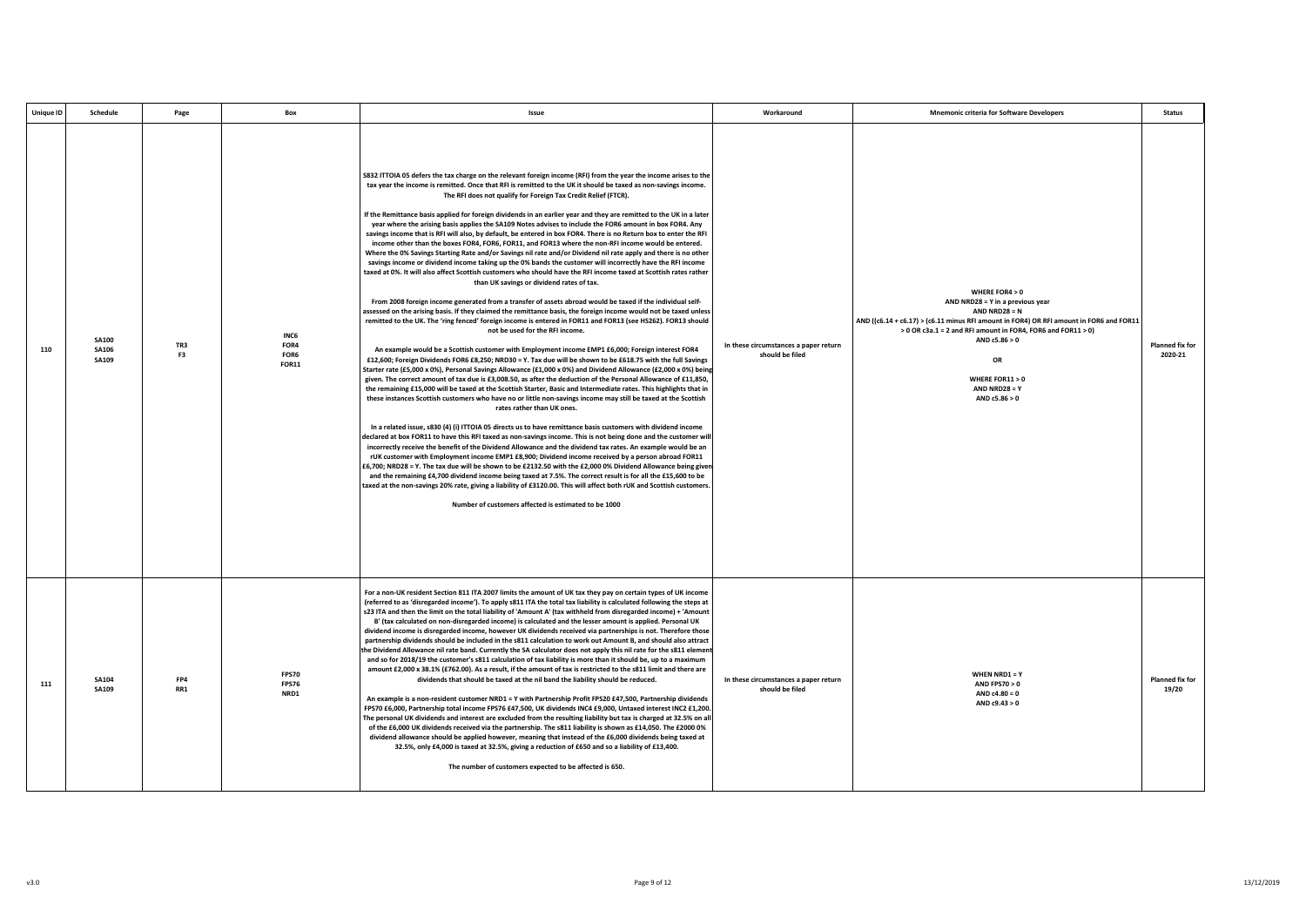| <b>Unique ID</b> | Schedule                              | Page<br>Box                                                   | Issue                                                                                                                                                                                                                                                                                                                                                                                                                                                                                                                                                                                                                                                                                                                                                                                                                                                                                                                                                                                                                                                                                                                                                                                                                                                                                                                                                                                                                                                                                                                                                                                                                                                                                                                                                                                                                                                                                                                                                                                                                                                                                                                                                                                                                                                                                                                                                                                                                                                                                                                                                                                                                                                                                                                                                                                                                                                                                                                                                                                                                                                                                                                                                                      | Workaround                                               | <b>Mnemonic criteria for Software Developers</b>                                                                                                                                                                                                                                                                       | <b>Status</b>              |
|------------------|---------------------------------------|---------------------------------------------------------------|----------------------------------------------------------------------------------------------------------------------------------------------------------------------------------------------------------------------------------------------------------------------------------------------------------------------------------------------------------------------------------------------------------------------------------------------------------------------------------------------------------------------------------------------------------------------------------------------------------------------------------------------------------------------------------------------------------------------------------------------------------------------------------------------------------------------------------------------------------------------------------------------------------------------------------------------------------------------------------------------------------------------------------------------------------------------------------------------------------------------------------------------------------------------------------------------------------------------------------------------------------------------------------------------------------------------------------------------------------------------------------------------------------------------------------------------------------------------------------------------------------------------------------------------------------------------------------------------------------------------------------------------------------------------------------------------------------------------------------------------------------------------------------------------------------------------------------------------------------------------------------------------------------------------------------------------------------------------------------------------------------------------------------------------------------------------------------------------------------------------------------------------------------------------------------------------------------------------------------------------------------------------------------------------------------------------------------------------------------------------------------------------------------------------------------------------------------------------------------------------------------------------------------------------------------------------------------------------------------------------------------------------------------------------------------------------------------------------------------------------------------------------------------------------------------------------------------------------------------------------------------------------------------------------------------------------------------------------------------------------------------------------------------------------------------------------------------------------------------------------------------------------------------------------------|----------------------------------------------------------|------------------------------------------------------------------------------------------------------------------------------------------------------------------------------------------------------------------------------------------------------------------------------------------------------------------------|----------------------------|
| 110              | <b>SA100</b><br><b>SA106</b><br>SA109 | INC6<br>TR3<br>FOR4<br>F <sub>3</sub><br>FOR6<br><b>FOR11</b> | S832 ITTOIA 05 defers the tax charge on the relevant foreign income (RFI) from the year the income arises to the<br>tax year the income is remitted. Once that RFI is remitted to the UK it should be taxed as non-savings income.<br>The RFI does not qualify for Foreign Tax Credit Relief (FTCR).<br>If the Remittance basis applied for foreign dividends in an earlier year and they are remitted to the UK in a later<br>year where the arising basis applies the SA109 Notes advises to include the FOR6 amount in box FOR4. Any<br>savings income that is RFI will also, by default, be entered in box FOR4. There is no Return box to enter the RFI<br>income other than the boxes FOR4, FOR6, FOR11, and FOR13 where the non-RFI income would be entered.<br>Where the 0% Savings Starting Rate and/or Savings nil rate and/or Dividend nil rate apply and there is no other<br>savings income or dividend income taking up the 0% bands the customer will incorrectly have the RFI income<br>taxed at 0%. It will also affect Scottish customers who should have the RFI income taxed at Scottish rates rather<br>than UK savings or dividend rates of tax.<br>From 2008 foreign income generated from a transfer of assets abroad would be taxed if the individual self-<br>assessed on the arising basis. If they claimed the remittance basis, the foreign income would not be taxed unless<br>remitted to the UK. The 'ring fenced' foreign income is entered in FOR11 and FOR13 (see HS262). FOR13 should<br>not be used for the RFI income.<br>An example would be a Scottish customer with Employment income EMP1 £6,000; Foreign interest FOR4<br>£12,600; Foreign Dividends FOR6 £8,250; NRD30 = Y. Tax due will be shown to be £618.75 with the full Savings<br>Starter rate (£5,000 x 0%), Personal Savings Allowance (£1,000 x 0%) and Dividend Allowance (£2,000 x 0%) being<br>given. The correct amount of tax due is £3,008.50, as after the deduction of the Personal Allowance of £11,850,<br>the remaining £15,000 will be taxed at the Scottish Starter, Basic and Intermediate rates. This highlights that in<br>these instances Scottish customers who have no or little non-savings income may still be taxed at the Scottish<br>rates rather than UK ones.<br>In a related issue, s830 (4) (i) ITTOIA 05 directs us to have remittance basis customers with dividend income<br>declared at box FOR11 to have this RFI taxed as non-savings income. This is not being done and the customer will<br>incorrectly receive the benefit of the Dividend Allowance and the dividend tax rates. An example would be an<br>rUK customer with Employment income EMP1 £8,900; Dividend income received by a person abroad FOR11<br>£6,700; NRD28 = Y. The tax due will be shown to be £2132.50 with the £2,000 0% Dividend Allowance being given<br>and the remaining £4,700 dividend income being taxed at 7.5%. The correct result is for all the £15,600 to be<br>taxed at the non-savings 20% rate, giving a liability of £3120.00. This will affect both rUK and Scottish customers.<br>Number of customers affected is estimated to be 1000 | In these circumstances a paper return<br>should be filed | <b>WHERE FOR4 &gt; 0</b><br>AND NRD28 = Y in a previous year<br>AND NRD28 = $N$<br>AND ((c6.14 + c6.17) > (c6.11 minus RFI amount in FOR4) OR RFI amount in FOR6 and FOR11<br>> 0 OR c3a.1 = 2 and RFI amount in FOR4, FOR6 and FOR11 > 0)<br>AND c5.86 > 0<br>OR<br>WHERE FOR11 > 0<br>AND NRD28 = Y<br>AND c5.86 > 0 | Planned fix for<br>2020-21 |
| 111              | <b>SA104</b><br>SA109                 | <b>FPS70</b><br>FP4<br><b>FPS76</b><br>RR1<br>NRD1            | For a non-UK resident Section 811 ITA 2007 limits the amount of UK tax they pay on certain types of UK income<br>(referred to as 'disregarded income'). To apply s811 ITA the total tax liability is calculated following the steps at<br>s23 ITA and then the limit on the total liability of 'Amount A' (tax withheld from disregarded income) + 'Amount<br>B' (tax calculated on non-disregarded income) is calculated and the lesser amount is applied. Personal UK<br>dividend income is disregarded income, however UK dividends received via partnerships is not. Therefore those<br>partnership dividends should be included in the s811 calculation to work out Amount B, and should also attract<br>the Dividend Allowance nil rate band. Currently the SA calculator does not apply this nil rate for the s811 element<br>and so for 2018/19 the customer's s811 calculation of tax liability is more than it should be, up to a maximum<br>amount £2,000 x 38.1% (£762.00). As a result, if the amount of tax is restricted to the s811 limit and there are<br>dividends that should be taxed at the nil band the liability should be reduced.<br>An example is a non-resident customer NRD1 = Y with Partnership Profit FPS20 £47,500, Partnership dividends<br>FPS70 £6,000, Partnership total income FPS76 £47,500, UK dividends INC4 £9,000, Untaxed interest INC2 £1,200.<br>The personal UK dividends and interest are excluded from the resulting liability but tax is charged at 32.5% on all<br>of the £6,000 UK dividends received via the partnership. The s811 liability is shown as £14,050. The £2000 0%<br>dividend allowance should be applied however, meaning that instead of the £6,000 dividends being taxed at<br>32.5%, only £4,000 is taxed at 32.5%, giving a reduction of £650 and so a liability of £13,400.<br>The number of customers expected to be affected is 650.                                                                                                                                                                                                                                                                                                                                                                                                                                                                                                                                                                                                                                                                                                                                                                                                                                                                                                                                                                                                                                                                                                                                                                                                                                                              | In these circumstances a paper return<br>should be filed | WHEN NRD1 = Y<br><b>AND FPS70 &gt; 0</b><br>$AND c4.80 = 0$<br>AND c9.43 > 0                                                                                                                                                                                                                                           | Planned fix for<br>19/20   |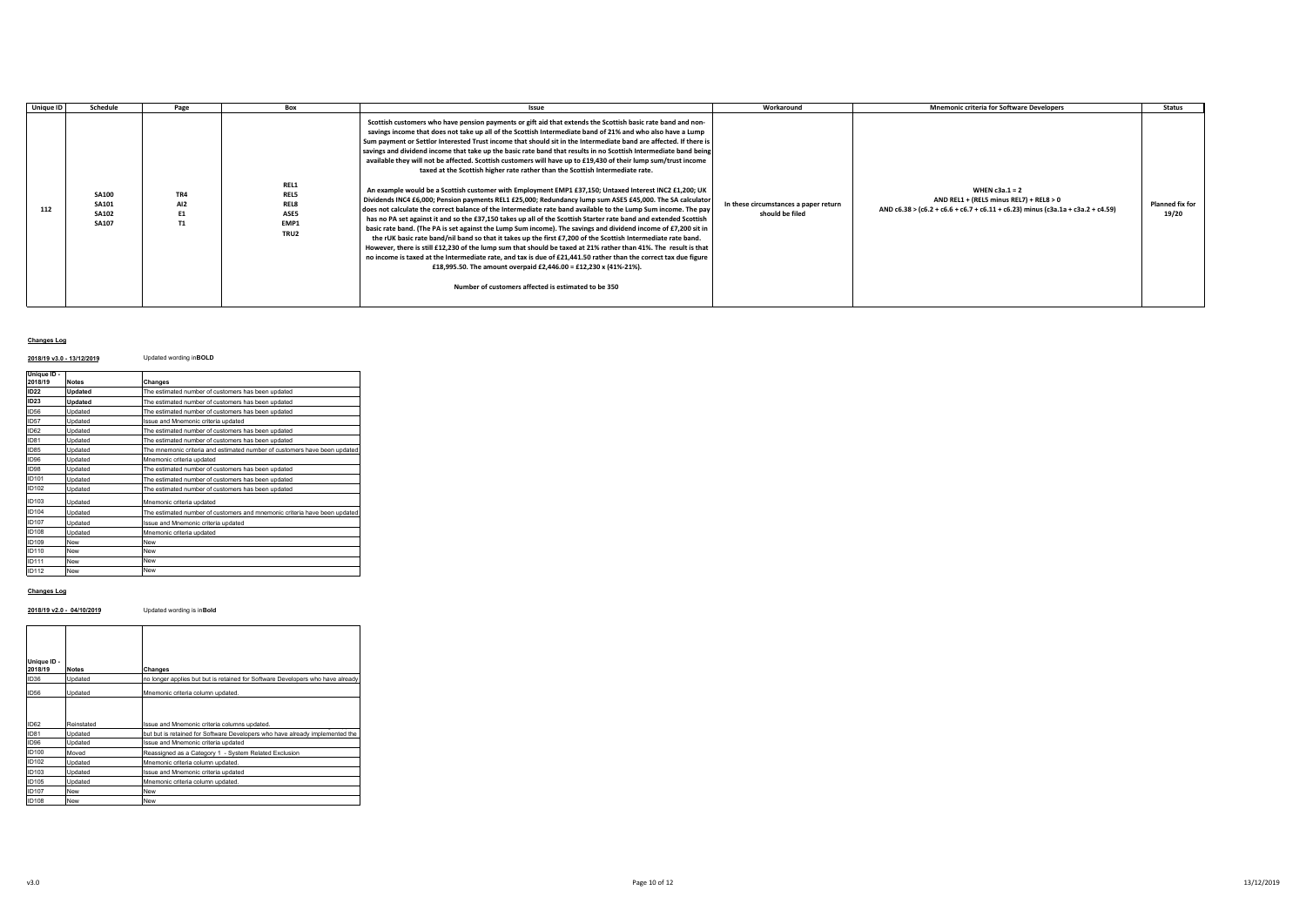| Unique ID | Schedule                                              | Page                         | Box                                                 | Issue                                                                                                                                                                                                                                                                                                                                                                                                                                                                                                                                                                                                                                                                                                                                                                                                                                                                                                                                                                                                                                                                                                                                                                                                                                                                                                                                                                                                                                                                                                                                                                                                                                                                                                                                   | Workaround                                               | <b>Mnemonic criteria for Software Developers</b>                                                                                               | <b>Status</b>            |
|-----------|-------------------------------------------------------|------------------------------|-----------------------------------------------------|-----------------------------------------------------------------------------------------------------------------------------------------------------------------------------------------------------------------------------------------------------------------------------------------------------------------------------------------------------------------------------------------------------------------------------------------------------------------------------------------------------------------------------------------------------------------------------------------------------------------------------------------------------------------------------------------------------------------------------------------------------------------------------------------------------------------------------------------------------------------------------------------------------------------------------------------------------------------------------------------------------------------------------------------------------------------------------------------------------------------------------------------------------------------------------------------------------------------------------------------------------------------------------------------------------------------------------------------------------------------------------------------------------------------------------------------------------------------------------------------------------------------------------------------------------------------------------------------------------------------------------------------------------------------------------------------------------------------------------------------|----------------------------------------------------------|------------------------------------------------------------------------------------------------------------------------------------------------|--------------------------|
| 112       | <b>SA100</b><br>SA101<br><b>SA102</b><br><b>SA107</b> | TR4<br>AI <sub>2</sub><br>T1 | REL1<br><b>REL5</b><br>REL8<br>ASE5<br>EMP1<br>TRU2 | Scottish customers who have pension payments or gift aid that extends the Scottish basic rate band and non-<br>savings income that does not take up all of the Scottish Intermediate band of 21% and who also have a Lump<br>Sum payment or Settlor Interested Trust income that should sit in the Intermediate band are affected. If there is<br>savings and dividend income that take up the basic rate band that results in no Scottish Intermediate band being<br>available they will not be affected. Scottish customers will have up to £19,430 of their lump sum/trust income<br>taxed at the Scottish higher rate rather than the Scottish Intermediate rate.<br>An example would be a Scottish customer with Employment EMP1 £37,150; Untaxed Interest INC2 £1,200; UK<br>Dividends INC4 £6,000; Pension payments REL1 £25,000; Redundancy lump sum ASE5 £45,000. The SA calculator<br>does not calculate the correct balance of the Intermediate rate band available to the Lump Sum income. The pay<br>has no PA set against it and so the £37,150 takes up all of the Scottish Starter rate band and extended Scottish<br>basic rate band. (The PA is set against the Lump Sum income). The savings and dividend income of £7,200 sit in<br>the rUK basic rate band/nil band so that it takes up the first £7,200 of the Scottish Intermediate rate band.<br>However, there is still £12,230 of the lump sum that should be taxed at 21% rather than 41%. The result is that<br>no income is taxed at the Intermediate rate, and tax is due of £21,441.50 rather than the correct tax due figure<br>£18,995.50. The amount overpaid £2,446.00 = £12,230 x (41%-21%).<br>Number of customers affected is estimated to be 350 | In these circumstances a paper return<br>should be filed | WHEN $c3a.1 = 2$<br>AND REL1 + (REL5 minus REL7) + REL8 > 0<br>AND c6.38 > (c6.2 + c6.6 + c6.7 + c6.11 + c6.23) minus (c3a.1a + c3a.2 + c4.59) | Planned fix for<br>19/20 |

## **Changes Log**

## **2018/19 v3.0 - 13/12/2019** Updated wording in**BOLD**

| Unique ID -<br>2018/19 | <b>Notes</b> | Changes                                                                   |
|------------------------|--------------|---------------------------------------------------------------------------|
| <b>ID22</b>            | Updated      | The estimated number of customers has been updated                        |
| ID23                   | Updated      | The estimated number of customers has been updated                        |
| <b>ID56</b>            | Updated      | The estimated number of customers has been updated                        |
| <b>ID57</b>            | Updated      | Issue and Mnemonic criteria updated                                       |
| ID62                   | Updated      | The estimated number of customers has been updated                        |
| ID81                   | Undated      | The estimated number of customers has been updated                        |
| ID85                   | Updated      | The mnemonic criteria and estimated number of customers have been updated |
| ID96                   | Updated      | Mnemonic criteria updated                                                 |
| <b>ID98</b>            | Updated      | The estimated number of customers has been updated                        |
| ID101                  | Updated      | The estimated number of customers has been updated                        |
| ID102                  | Updated      | The estimated number of customers has been updated                        |
| ID103                  | Updated      | Mnemonic criteria updated                                                 |
| ID104                  | Updated      | The estimated number of customers and mnemonic criteria have been updated |
| ID107                  | Updated      | Issue and Mnemonic criteria updated                                       |
| ID108                  | Updated      | Mnemonic criteria updated                                                 |
| ID109                  | New          | New                                                                       |
| ID110                  | New          | New                                                                       |
| ID111                  | New          | New                                                                       |
| ID112                  | New          | New                                                                       |

## **Changes Log**

## **2018/19 v2.0 - 04/10/2019** Updated wording is in**Bold**

| Unique ID -<br>2018/19 | <b>Notes</b> | Changes                                                                        |
|------------------------|--------------|--------------------------------------------------------------------------------|
| ID36                   | Updated      | no longer applies but but is retained for Software Developers who have already |
| <b>ID56</b>            | Updated      | Mnemonic criteria column updated.                                              |
| ID62                   | Reinstated   | Issue and Mnemonic criteria columns updated.                                   |
| ID81                   | Updated      | but but is retained for Software Developers who have already implemented the   |
| ID96                   | Updated      | Issue and Mnemonic criteria updated                                            |
| ID100                  | Moved        | Reassigned as a Category 1 - System Related Exclusion                          |
| ID102                  | Updated      | Mnemonic criteria column updated.                                              |
| ID103                  | Updated      | Issue and Mnemonic criteria updated                                            |
| ID105                  | Updated      | Mnemonic criteria column updated.                                              |
| ID107                  | New          | New                                                                            |
| ID108                  | New          | New                                                                            |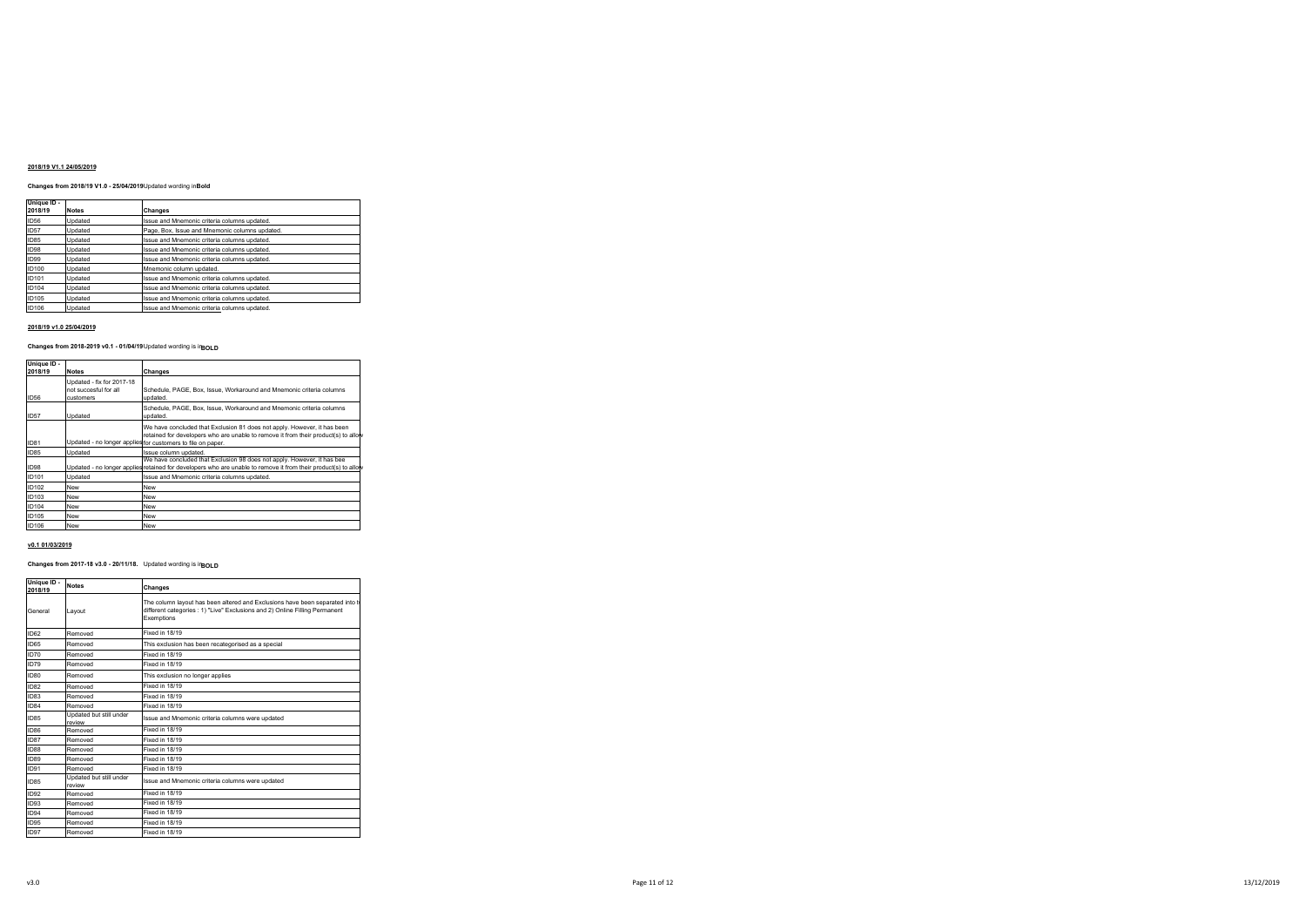### **2018/19 V1.1 24/05/2019**

# **Changes from 2018/19 V1.0 - 25/04/2019**Updated wording in**Bold**

| Unique ID -<br>2018/19 | <b>Notes</b> | Changes                                        |
|------------------------|--------------|------------------------------------------------|
| <b>ID56</b>            | Updated      | Issue and Mnemonic criteria columns updated.   |
| <b>ID57</b>            | Updated      | Page, Box, Issue and Mnemonic columns updated. |
| <b>ID85</b>            | Updated      | Issue and Mnemonic criteria columns updated.   |
| ID98                   | Updated      | Issue and Mnemonic criteria columns updated.   |
| ID99                   | Updated      | Issue and Mnemonic criteria columns updated.   |
| <b>ID100</b>           | Updated      | Mnemonic column updated.                       |
| <b>ID101</b>           | Updated      | Issue and Mnemonic criteria columns updated.   |
| <b>ID104</b>           | Updated      | Issue and Mnemonic criteria columns updated.   |
| ID105                  | Updated      | Issue and Mnemonic criteria columns updated.   |
| ID106                  | Updated      | Issue and Mnemonic criteria columns updated.   |

#### **2018/19 v1.0 25/04/2019**

### **Changes from 2018-2019 v0.1 - 01/04/19** Updated wording is in**BOLD**

| Unique ID -<br>2018/19 | <b>Notes</b>                                       | Changes                                                                                                                                                                                   |
|------------------------|----------------------------------------------------|-------------------------------------------------------------------------------------------------------------------------------------------------------------------------------------------|
|                        |                                                    |                                                                                                                                                                                           |
|                        | Updated - fix for 2017-18<br>not succesful for all | Schedule, PAGE, Box, Issue, Workaround and Mnemonic criteria columns                                                                                                                      |
| <b>ID56</b>            | <b>CUSTOMARS</b>                                   | updated.                                                                                                                                                                                  |
| <b>ID57</b>            | Updated                                            | Schedule, PAGE, Box, Issue, Workaround and Mnemonic criteria columns<br>updated.                                                                                                          |
|                        |                                                    | We have concluded that Exclusion 81 does not apply. However, it has been<br>retained for developers who are unable to remove it from their product(s) to allow                            |
| <b>ID81</b>            |                                                    | Updated - no longer applies for customers to file on paper.                                                                                                                               |
| <b>ID85</b>            | Updated                                            | Issue column updated.                                                                                                                                                                     |
| ID98                   |                                                    | We have concluded that Exclusion 98 does not apply. However, it has bee<br>Updated - no longer applies retained for developers who are unable to remove it from their product(s) to allow |
| <b>ID101</b>           | Updated                                            | Issue and Mnemonic criteria columns updated.                                                                                                                                              |
| ID102                  | New                                                | New                                                                                                                                                                                       |
| ID103                  | New                                                | New                                                                                                                                                                                       |
| <b>ID104</b>           | New                                                | New                                                                                                                                                                                       |
| ID105                  | New                                                | New                                                                                                                                                                                       |
| ID106                  | New                                                | <b>New</b>                                                                                                                                                                                |

#### **v0.1 01/03/2019**

**Unique ID -**

### **Changes from 2017-18 v3.0 - 20/11/18.** Updated wording is in**BOLD**

| onique in -<br>2018/19 | <b>Notes</b>                      | Changes                                                                                                                                                                     |
|------------------------|-----------------------------------|-----------------------------------------------------------------------------------------------------------------------------------------------------------------------------|
| General                | Lavout                            | The column layout has been altered and Exclusions have been separated into the<br>different categories : 1) "Live" Exclusions and 2) Online Filling Permanent<br>Exemptions |
| <b>ID62</b>            | Removed                           | Fixed in 18/19                                                                                                                                                              |
| <b>ID65</b>            | Removed                           | This exclusion has been recategorised as a special                                                                                                                          |
| ID70                   | Removed                           | Fixed in 18/19                                                                                                                                                              |
| ID79                   | Removed                           | Fixed in 18/19                                                                                                                                                              |
| ID80                   | Removed                           | This exclusion no longer applies                                                                                                                                            |
| ID <sub>82</sub>       | Removed                           | Fixed in 18/19                                                                                                                                                              |
| ID <sub>83</sub>       | Removed                           | Fixed in 18/19                                                                                                                                                              |
| ID <sub>84</sub>       | Removed                           | Fixed in 18/19                                                                                                                                                              |
| ID <sub>85</sub>       | Updated but still under<br>review | Issue and Mnemonic criteria columns were updated                                                                                                                            |
| ID <sub>86</sub>       | Removed                           | Fixed in 18/19                                                                                                                                                              |
| ID87                   | Removed                           | Fixed in 18/19                                                                                                                                                              |
| <b>ID88</b>            | Removed                           | Fixed in 18/19                                                                                                                                                              |
| ID89                   | Removed                           | Fixed in 18/19                                                                                                                                                              |
| <b>ID91</b>            | Removed                           | Fixed in 18/19                                                                                                                                                              |
| <b>ID85</b>            | Updated but still under<br>review | Issue and Mnemonic criteria columns were updated                                                                                                                            |
| <b>ID92</b>            | Removed                           | Fixed in 18/19                                                                                                                                                              |
| <b>ID93</b>            | Removed                           | Fixed in 18/19                                                                                                                                                              |
| <b>ID94</b>            | Removed                           | Fixed in 18/19                                                                                                                                                              |
| <b>ID95</b>            | Removed                           | Fixed in 18/19                                                                                                                                                              |
| ID97                   | Removed                           | Fixed in 18/19                                                                                                                                                              |